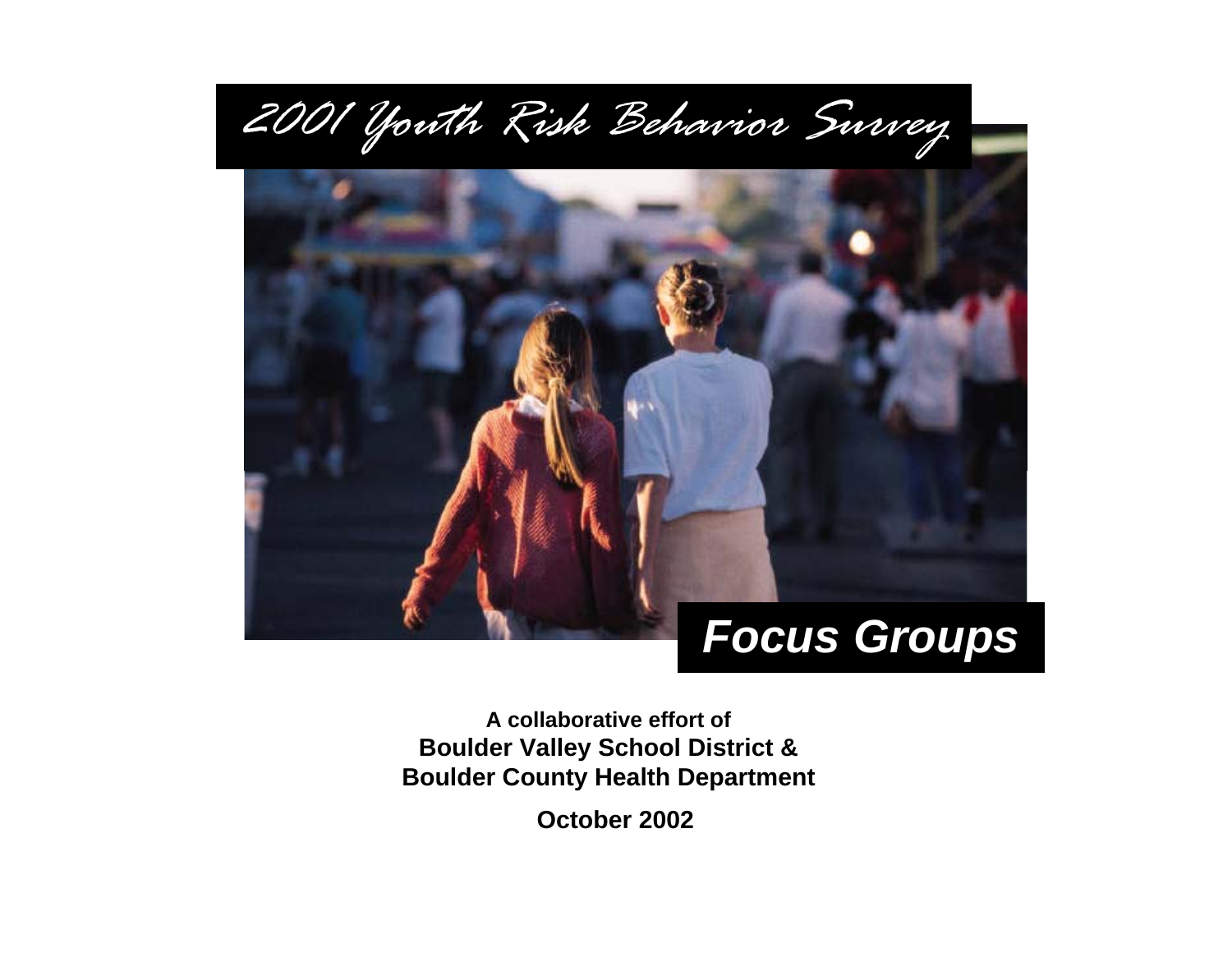

**A collaborative effort ofBoulder Valley School District & Boulder County Health Department**

**October 2002**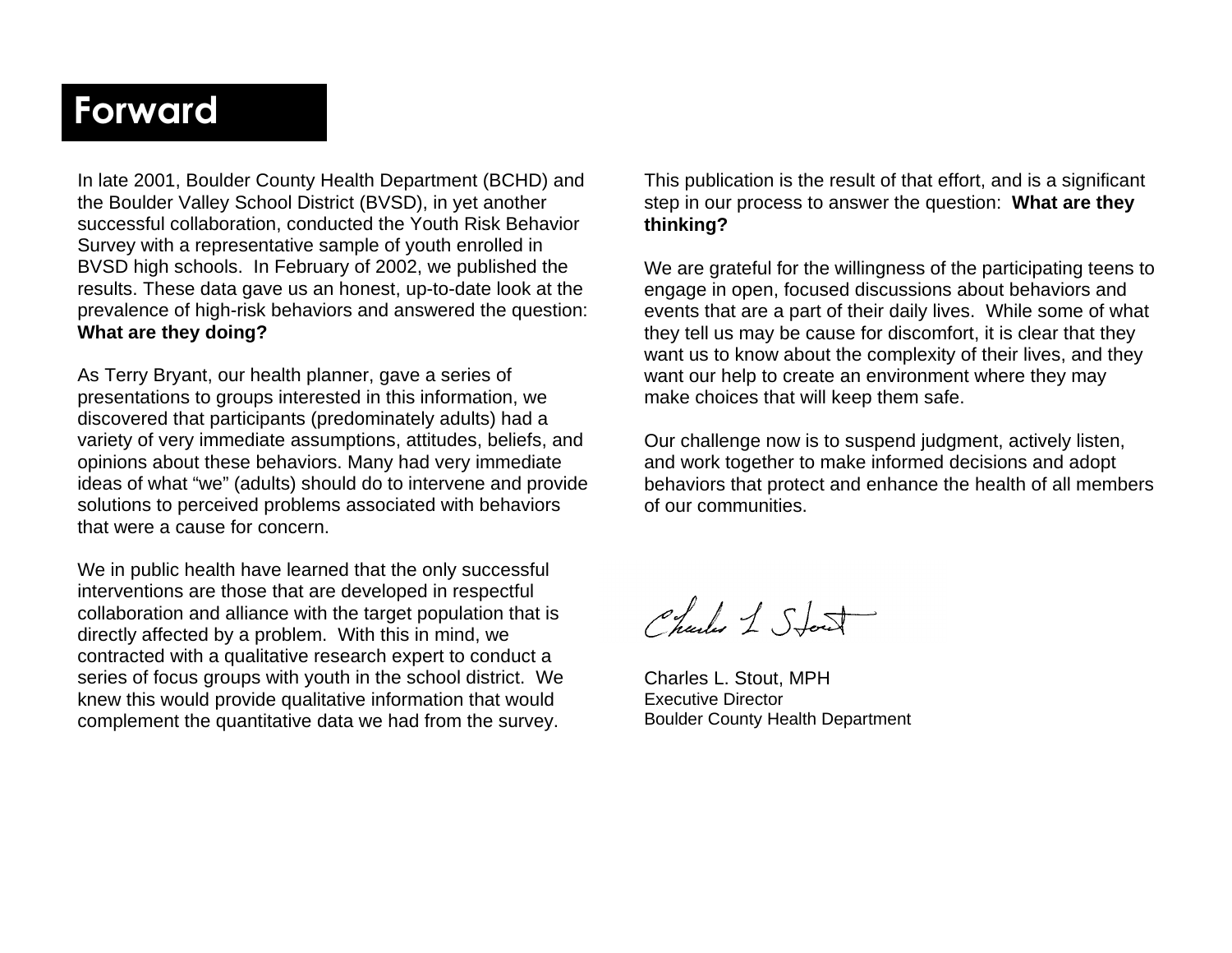## Forward

In late 2001, Boulder County Health Department (BCHD) and the Boulder Valley School District (BVSD), in yet another successful collaboration, conducted the Youth Risk Behavior Survey with a representative sample of youth enrolled in BVSD high schools. In February of 2002, we published the results. These data gave us an honest, up-to-date look at the prevalence of high-risk behaviors and answered the question: **What are they doing?** 

As Terry Bryant, our health planner, gave a series of presentations to groups interested in this information, we discovered that participants (predominately adults) had a variety of very immediate assumptions, attitudes, beliefs, and opinions about these behaviors. Many had very immediate ideas of what "we" (adults) should do to intervene and provide solutions to perceived problems associated with behaviors that were a cause for concern.

We in public health have learned that the only successful interventions are those that are developed in respectful collaboration and alliance with the target population that is directly affected by a problem. With this in mind, we contracted with a qualitative research expert to conduct a series of focus groups with youth in the school district. We knew this would provide qualitative information that would complement the quantitative data we had from the survey.

This publication is the result of that effort, and is a significant step in our process to answer the question: **What are they thinking?**

We are grateful for the willingness of the participating teens to engage in open, focused discussions about behaviors and events that are a part of their daily lives. While some of what they tell us may be cause for discomfort, it is clear that they want us to know about the complexity of their lives, and they want our help to create an environment where they may make choices that will keep them safe.

Our challenge now is to suspend judgment, actively listen, and work together to make informed decisions and adopt behaviors that protect and enhance the health of all members of our communities.

Charles 1 Stort

Charles L. Stout, MPH Executive Director Boulder County Health Department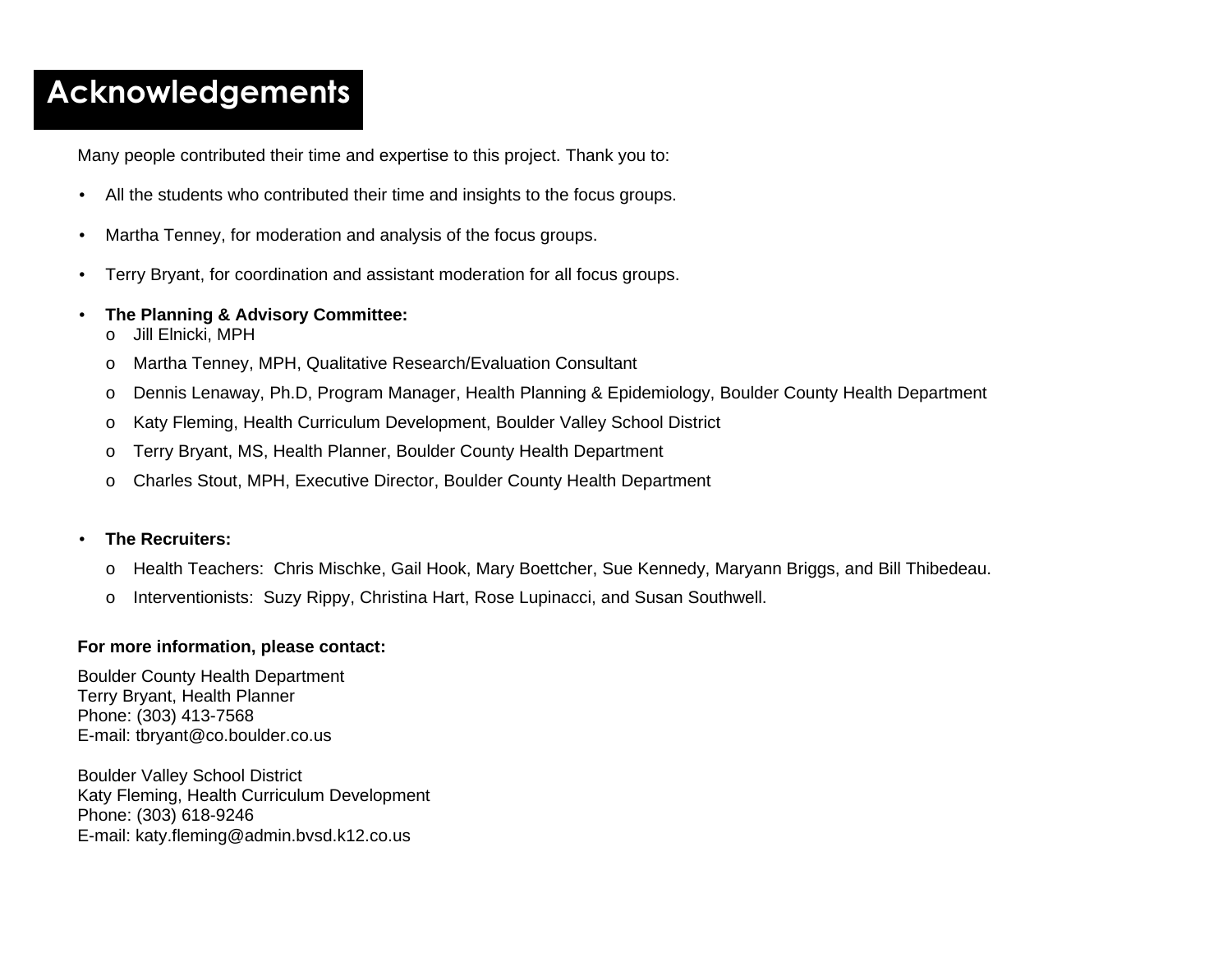## **Acknowledgements**

Many people contributed their time and expertise to this project. Thank you to:

- All the students who contributed their time and insights to the focus groups.
- Martha Tenney, for moderation and analysis of the focus groups.
- Terry Bryant, for coordination and assistant moderation for all focus groups.
- **The Planning & Advisory Committee:** 
	- o Jill Elnicki, MPH
	- o Martha Tenney, MPH, Qualitative Research/Evaluation Consultant
	- o Dennis Lenaway, Ph.D, Program Manager, Health Planning & Epidemiology, Boulder County Health Department
	- o Katy Fleming, Health Curriculum Development, Boulder Valley School District
	- o Terry Bryant, MS, Health Planner, Boulder County Health Department
	- <sup>o</sup>Charles Stout, MPH, Executive Director, Boulder County Health Department

#### • **The Recruiters:**

- o Health Teachers: Chris Mischke, Gail Hook, Mary Boettcher, Sue Kennedy, Maryann Briggs, and Bill Thibedeau.
- o Interventionists: Suzy Rippy, Christina Hart, Rose Lupinacci, and Susan Southwell.

#### **For more information, please contact:**

Boulder County Health Department Terry Bryant, Health Planner Phone: (303) 413-7568 E-mail: tbryant@co.boulder.co.us

Boulder Valley School District Katy Fleming, Health Curriculum Development Phone: (303) 618-9246 E-mail: katy.fleming@admin.bvsd.k12.co.us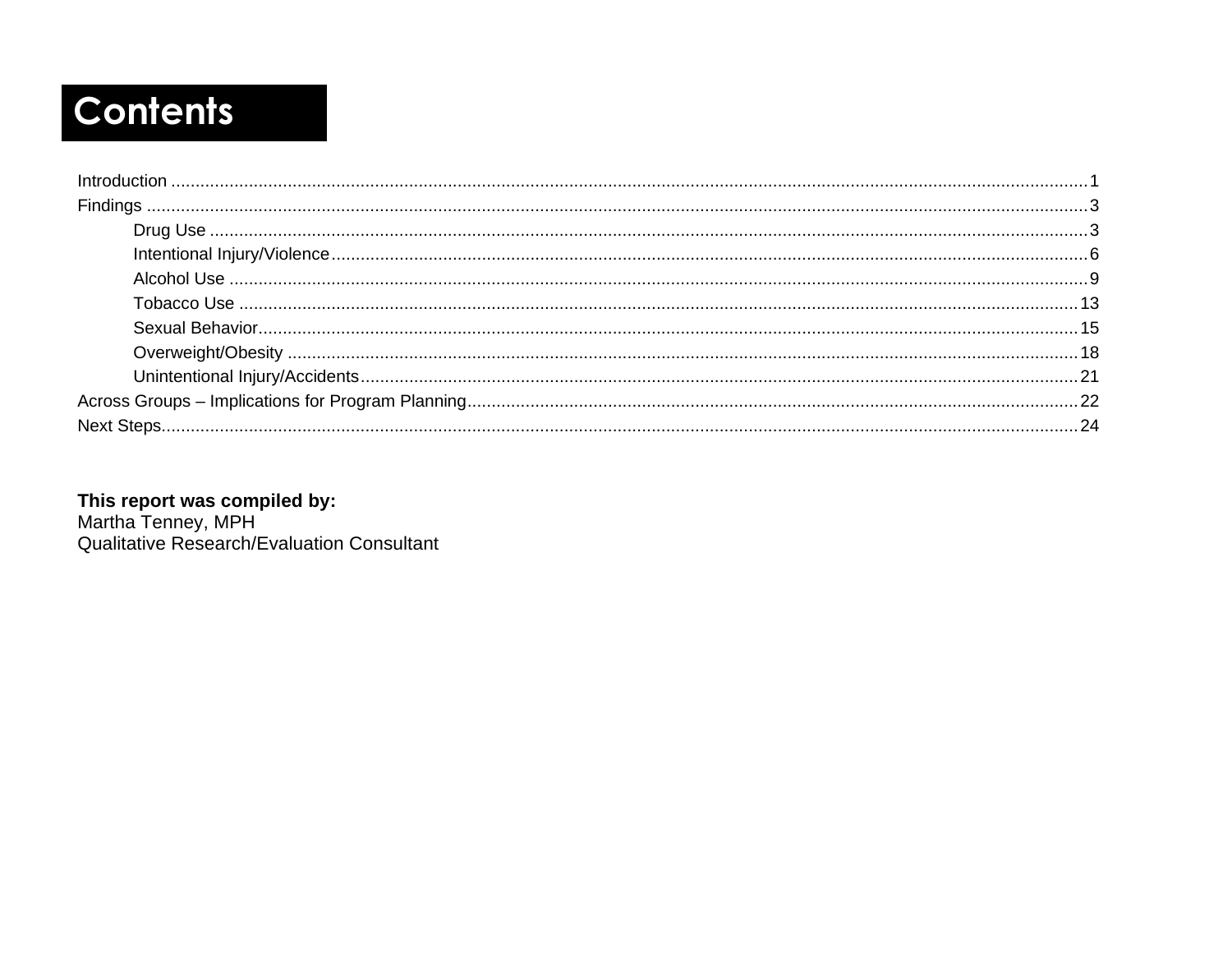# **Contents**

This report was compiled by:<br>Martha Tenney, MPH<br>Qualitative Research/Evaluation Consultant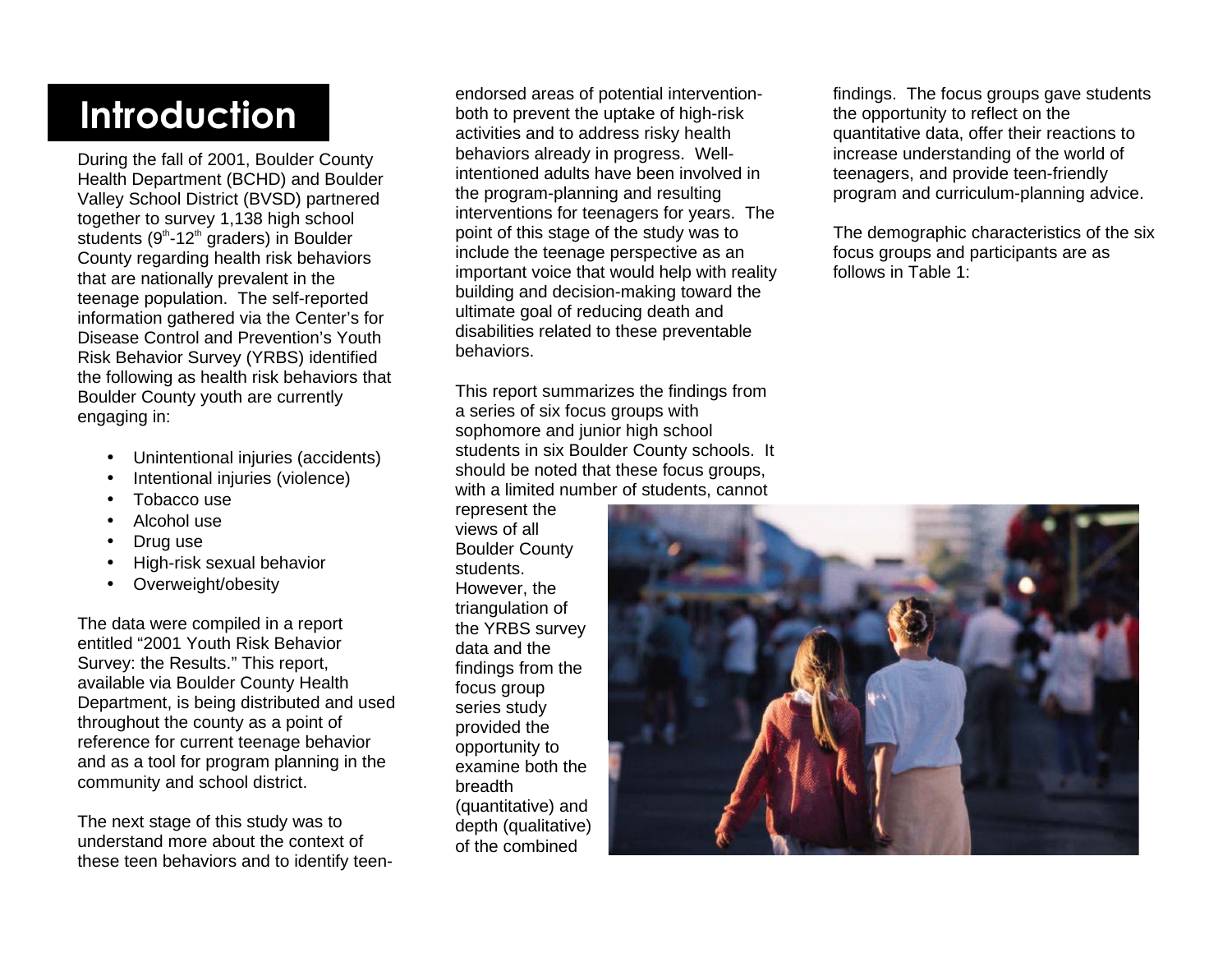# duction

During the fall of 2001, Boulder County Health Department (BCHD) and Boulder Valley School District (BVSD) partnered together to survey 1,138 high school students  $(9<sup>th</sup>-12<sup>th</sup>$  graders) in Boulder County regarding health risk behaviors that are nationally prevalent in the teenage population. The self-reported information gathered via the Center's for Disease Control and Prevention's Youth Risk Behavior Survey (YRBS) identified the following as health risk behaviors that Boulder County youth are currently engaging in:

- Unintentional injuries (accidents)
- Intentional injuries (violence)
- Tobacco use
- Alcohol use
- Drug use
- High-risk sexual behavior
- Overweight/obesity

The data were compiled in a report entitled "2001 Youth Risk Behavior Survey: the Results." This report, available via Boulder County Health Department, is being distributed and used throughout the county as a point of reference for current teenage behavior and as a tool for program planning in the community and school district.

The next stage of this study was to understand more about the context of these teen behaviors and to identify teenendorsed areas of potential intervention-<br>both to prevent the uptake of high-risk<br>activities and to address risky health<br>behaviors already in progress. Well-

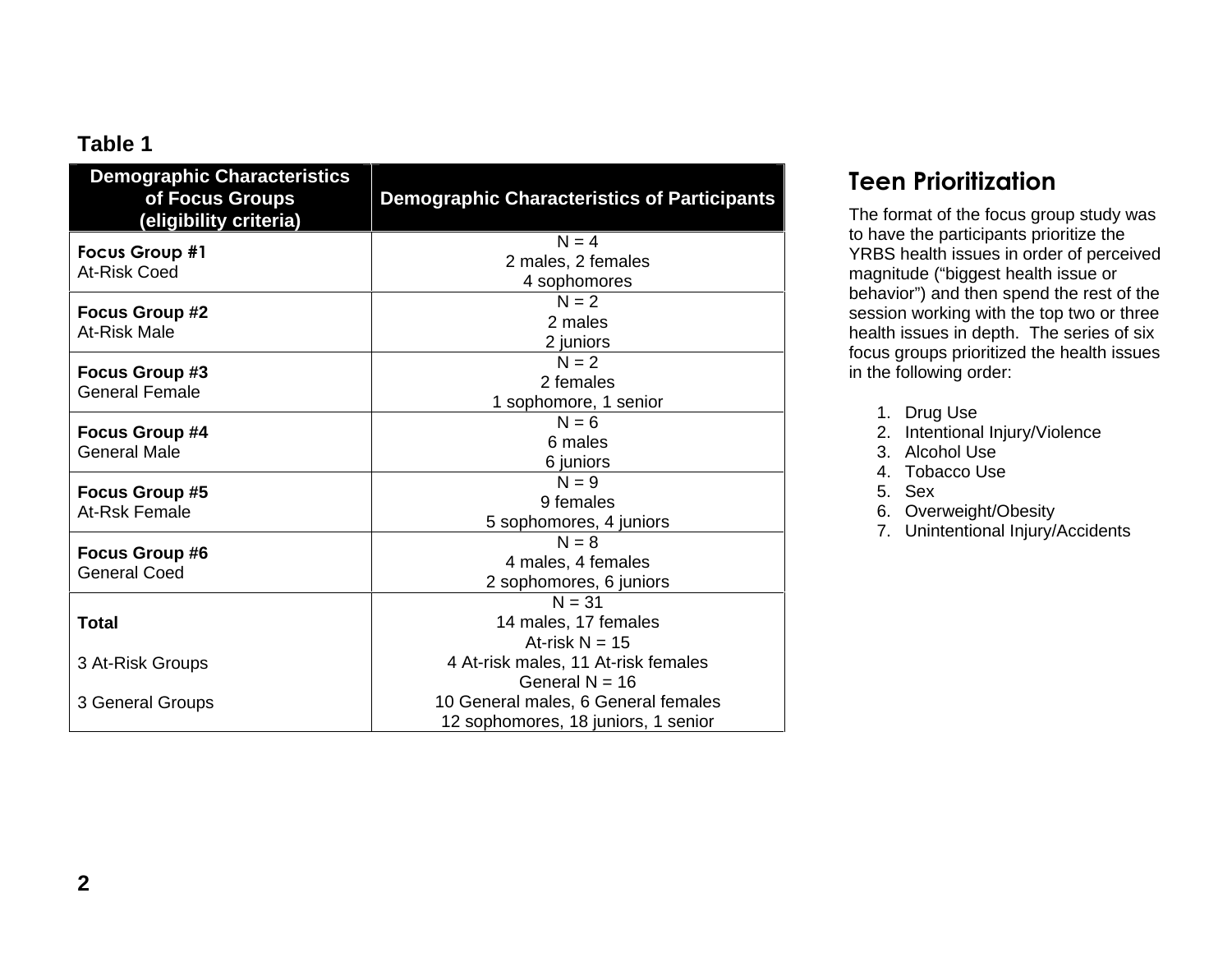## **Table 1**

| <b>Demographic Characteristics</b><br>of Focus Groups<br>(eligibility criteria) | <b>Demographic Characteristics of Participants</b> |
|---------------------------------------------------------------------------------|----------------------------------------------------|
| <b>Focus Group #1</b><br>At-Risk Coed                                           | $N = 4$                                            |
|                                                                                 | 2 males, 2 females                                 |
|                                                                                 | 4 sophomores                                       |
| <b>Focus Group #2</b>                                                           | $N = 2$                                            |
| At-Risk Male                                                                    | 2 males                                            |
|                                                                                 | 2 juniors                                          |
| Focus Group #3                                                                  | $N = 2$                                            |
| <b>General Female</b>                                                           | 2 females                                          |
|                                                                                 | 1 sophomore, 1 senior                              |
| <b>Focus Group #4</b>                                                           | $N = 6$                                            |
| <b>General Male</b>                                                             | 6 males                                            |
|                                                                                 | 6 juniors                                          |
| <b>Focus Group #5</b>                                                           | $N = 9$                                            |
| At-Rsk Female                                                                   | 9 females                                          |
|                                                                                 | 5 sophomores, 4 juniors                            |
| <b>Focus Group #6</b><br><b>General Coed</b>                                    | $N = 8$                                            |
|                                                                                 | 4 males, 4 females                                 |
|                                                                                 | 2 sophomores, 6 juniors                            |
|                                                                                 | $N = 31$                                           |
| <b>Total</b>                                                                    | 14 males, 17 females                               |
|                                                                                 | At-risk $N = 15$                                   |
| 3 At-Risk Groups                                                                | 4 At-risk males, 11 At-risk females                |
|                                                                                 | General $N = 16$                                   |
| 3 General Groups                                                                | 10 General males, 6 General females                |
|                                                                                 | 12 sophomores, 18 juniors, 1 senior                |

## Teen Prioritization

The format of the focus group study was to have the participants prioritize the YRBS health issues in order of perceived magnitude ("biggest health issue or behavior") and then spend the rest of the session working with the top two or three health issues in depth. The series of six focus groups prioritized the health issues in the following order:

- 1. Drug Use
- 2. Intentional Injury/Violence
- 3. Alcohol Use
- 4. Tobacco Use
- 5. Sex
- 6. Overweight/Obesity
- 7. Unintentional Injury/Accidents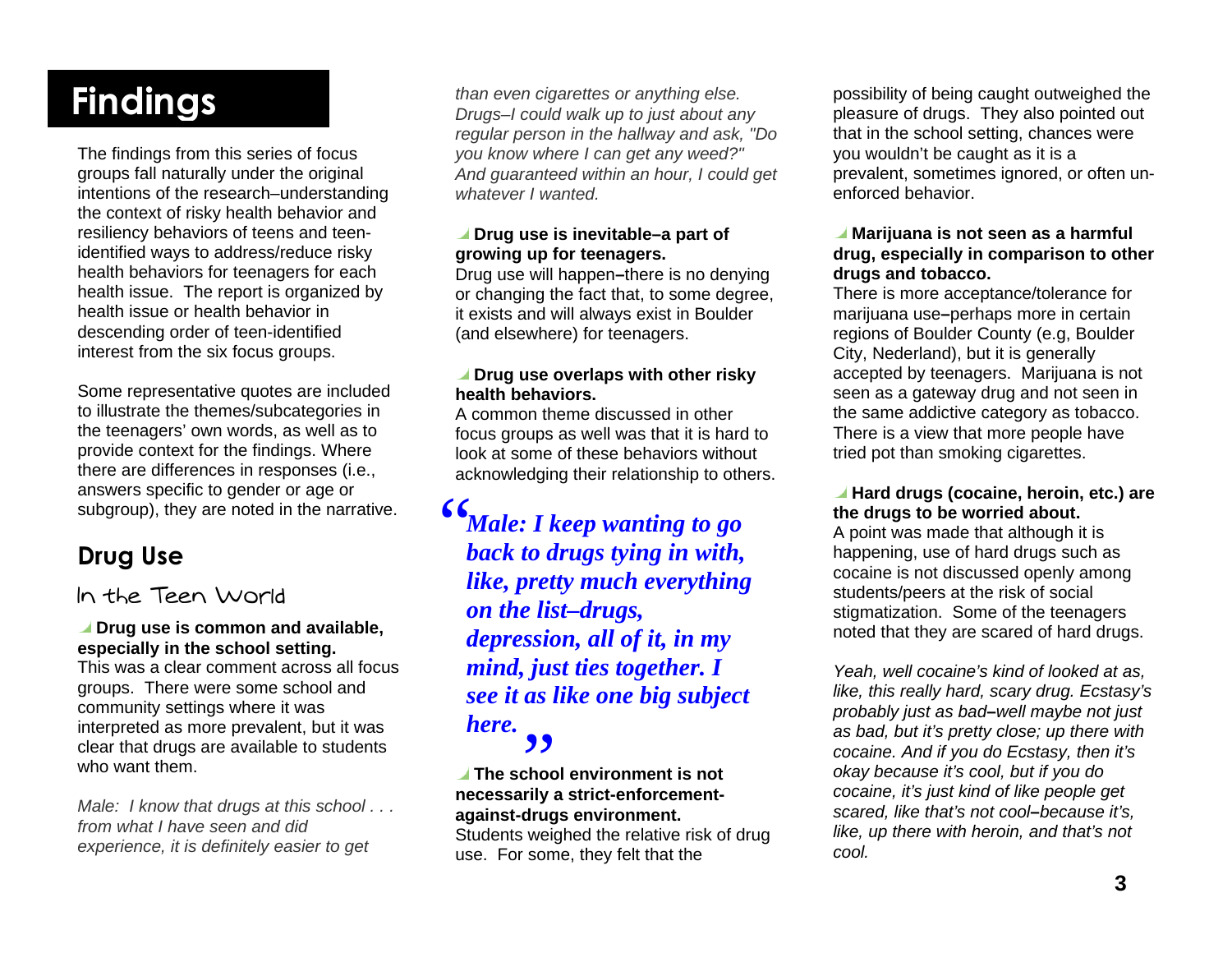# **Findings**

The findings from this series of focus groups fall naturally under the original intentions of the research–understanding the context of risky health behavior and resiliency behaviors of teens and teenidentified ways to address/reduce risky health behaviors for teenagers for each health issue. The report is organized by health issue or health behavior in descending order of teen-identified interest from the six focus groups.

Some representative quotes are included to illustrate the themes/subcategories in the teenagers' own words, as well as to provide context for the findings. Where there are differences in responses (i.e., answers specific to gender or age or subgroup), they are noted in the narrative.

## Drug Use

### In the Teen World

#### *I* Drug use is common and available, **especially in the school setting.**

This was a clear comment across all focus groups. There were some school and community settings where it was interpreted as more prevalent, but it was clear that drugs are available to students who want them.

Male: I know that drugs at this school . . . from what I have seen and did experience, it is definitely easier to get

than even cigarettes or anything else. Drugs–I could walk up to just about any regular person in the hallway and ask, "Do you know where I can get any weed?" And guaranteed within an hour, I could get whatever I wanted.

#### ■ Drug use is inevitable–a part of **growing up for teenagers.**

Drug use will happen **–**there is no denying or changing the fact that, to some degree, it exists and will always exist in Boulder (and elsewhere) for teenagers.

#### *I* Drug use overlaps with other risky **health behaviors.**

A common theme discussed in other focus groups as well was that it is hard to look at some of these behaviors without acknowledging their relationship to others.

"*Male: I keep wanting to go back to drugs tying in with, like, pretty much everything on the list–drugs, depression, all of it, in my mind, just ties together. I see it as like one big subject here.* 

#### **The school environment is not necessarily a strict-enforcement against-drugs environment.**  <mark>و و</mark><br>The scho

Students weighed the relative risk of drug use. For some, they felt that the

possibility of being caught outweighed the pleasure of drugs. They also pointed out that in the school setting, chances were you wouldn't be caught as it is a prevalent, sometimes ignored, or often unenforced behavior.

#### **Marijuana is not seen as a harmful drug, especially in comparison to other drugs and tobacco.**

There is more acceptance/tolerance for marijuana use **–**perhaps more in certain regions of Boulder County (e.g, Boulder City, Nederland), but it is generally accepted by teenagers. Marijuana is not seen as a gateway drug and not seen in the same addictive category as tobacco. There is a view that more people have tried pot than smoking cigarettes.

#### **Hard drugs (cocaine, heroin, etc.) are the drugs to be worried about.**

A point was made that although it is happening, use of hard drugs such as cocaine is not discussed openly among students/peers at the risk of social stigmatization. Some of the teenagers noted that they are scared of hard drugs.

Yeah, well cocaine's kind of looked at as, like, this really hard, scary drug. Ecstasy's probably just as bad**–**well maybe not just as bad, but it's pretty close; up there with cocaine. And if you do Ecstasy, then it's okay because it's cool, but if you do cocaine, it's just kind of like people get scared, like that's not cool**–**because it's, like, up there with heroin, and that's not cool.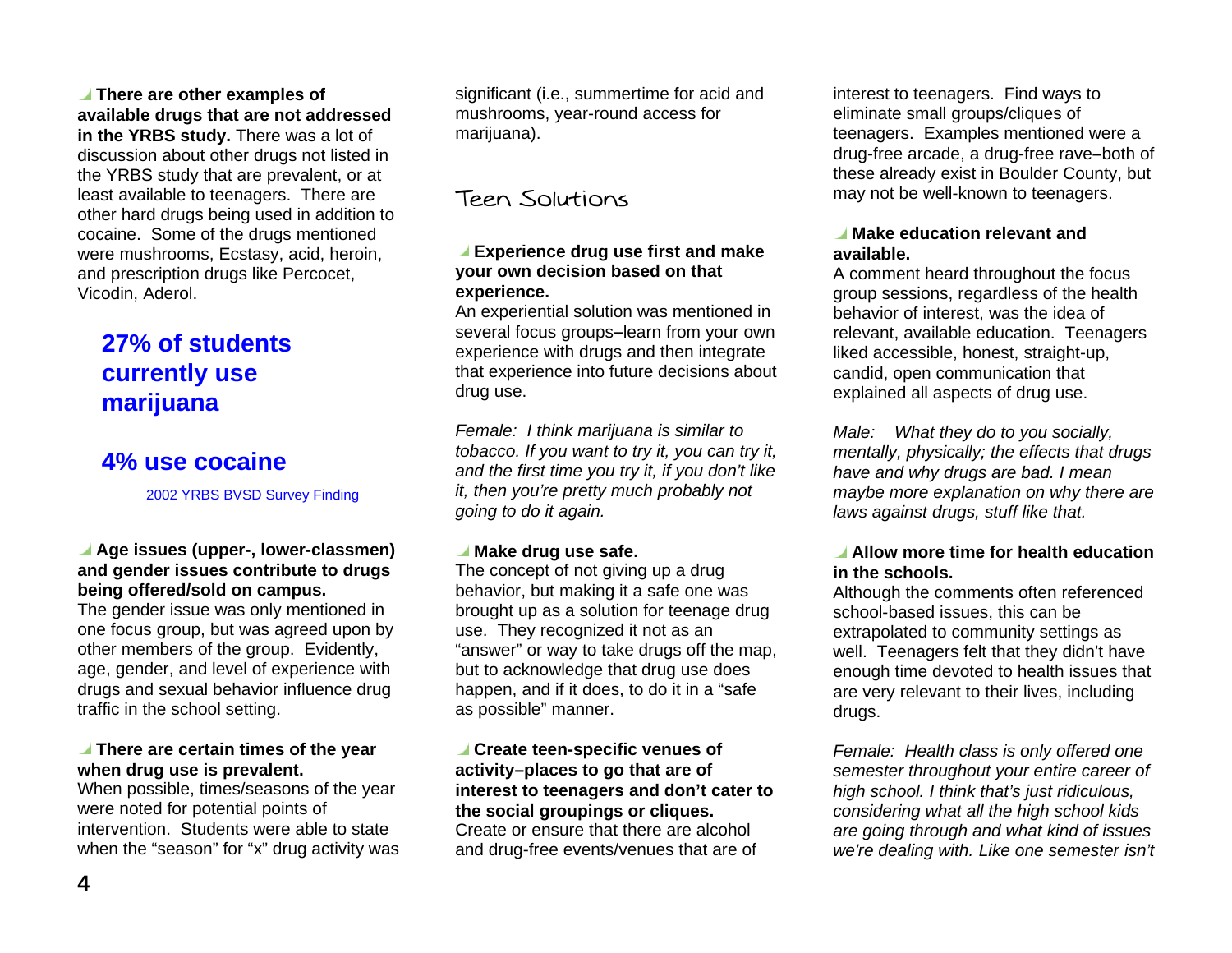**There are other examples of available drugs that are not addressed in the YRBS study.** There was a lot of discussion about other drugs not listed in the YRBS study that are prevalent, or at least available to teenagers. There are other hard drugs being used in addition to cocaine. Some of the drugs mentioned were mushrooms, Ecstasy, acid, heroin, and prescription drugs like Percocet, Vicodin, Aderol.

## **27% of students currently use marijuana**

## **4% use cocaine**

2002 YRBS BVSD Survey Finding

#### **Age issues (upper-, lower-classmen) and gender issues contribute to drugs being offered/sold on campus.**

The gender issue was only mentioned in one focus group, but was agreed upon by other members of the group. Evidently, age, gender, and level of experience with drugs and sexual behavior influence drug traffic in the school setting.

#### **There are certain times of the year when drug use is prevalent.**

When possible, times/seasons of the year were noted for potential points of intervention. Students were able to state when the "season" for "x" drug activity was

significant (i.e., summertime for acid and mushrooms, year-round access for marijuana).

## Teen Solutions

#### **Experience drug use first and make your own decision based on that experience.**

An experiential solution was mentioned in several focus groups **–**learn from your own experience with drugs and then integrate that experience into future decisions about drug use.

Female: I think marijuana is similar to tobacco. If you want to try it, you can try it, and the first time you try it, if you don't like it, then you're pretty much probably not going to do it again.

#### **Make drug use safe.**

The concept of not giving up a drug behavior, but making it a safe one was brought up as a solution for teenage drug use. They recognized it not as an "answer" or way to take drugs off the map, but to acknowledge that drug use does happen, and if it does, to do it in a "safe as possible" manner.

#### **Create teen-specific venues of activity–places to go that are of interest to teenagers and don't cater to the social groupings or cliques.**  Create or ensure that there are alcohol and drug-free events/venues that are of

interest to teenagers. Find ways to eliminate small groups/cliques of teenagers. Examples mentioned were a drug-free arcade, a drug-free rave **–**both of these already exist in Boulder County, but may not be well-known to teenagers.

#### **Make education relevant and available.**

A comment heard throughout the focus group sessions, regardless of the health behavior of interest, was the idea of relevant, available education. Teenagers liked accessible, honest, straight-up, candid, open communication that explained all aspects of drug use.

Male: What they do to you socially, mentally, physically; the effects that drugs have and why drugs are bad. I mean maybe more explanation on why there are laws against drugs, stuff like that.

#### **Allow more time for health education in the schools.**

Although the comments often referenced school-based issues, this can be extrapolated to community settings as well. Teenagers felt that they didn't have enough time devoted to health issues that are very relevant to their lives, including drugs.

Female: Health class is only offered one semester throughout your entire career of high school. I think that's just ridiculous, considering what all the high school kids are going through and what kind of issues we're dealing with. Like one semester isn't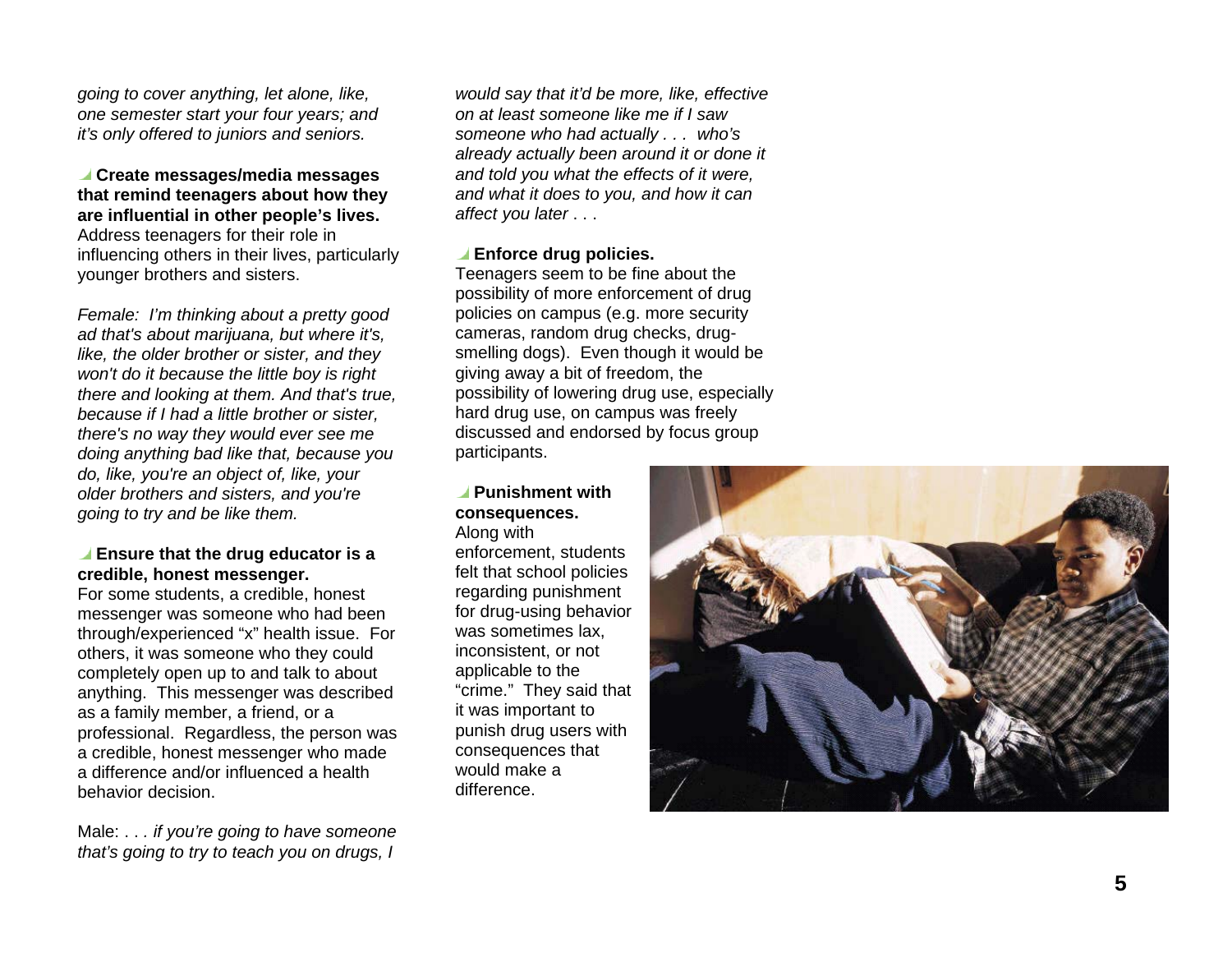going to cover anything, let alone, like, one semester start your four years; and it's only offered to juniors and seniors.

 **Create messages/media messages that remind teenagers about how they are influential in other people's lives.**  Address teenagers for their role in influencing others in their lives, particularly younger brothers and sisters.

Female: I'm thinking about a pretty good ad that's about marijuana, but where it's, like, the older brother or sister, and they won't do it because the little boy is right there and looking at them. And that's true, because if I had a little brother or sister, there's no way they would ever see me doing anything bad like that, because you do, like, you're an object of, like, your older brothers and sisters, and you're going to try and be like them.

#### **Ensure that the drug educator is a credible, honest messenger.**

For some students, a credible, honest messenger was someone who had been through/experienced "x" health issue. For others, it was someone who they could completely open up to and talk to about anything. This messenger was described as a family member, a friend, or a professional. Regardless, the person was a credible, honest messenger who made a difference and/or influenced a health behavior decision.

Male: . . . if you're going to have someone that's going to try to teach you on drugs, I

would say that it'd be more, like, effective on at least someone like me if I saw someone who had actually . . . who's already actually been around it or done it and told you what the effects of it were, and what it does to you, and how it can affect you later . . .

#### **Enforce drug policies.**

Teenagers seem to be fine about the possibility of more enforcement of drug policies on campus (e.g. more security cameras, random drug checks, drugsmelling dogs). Even though it would be giving away a bit of freedom, the possibility of lowering drug use, especially hard drug use, on campus was freely discussed and endorsed by focus group participants.

### **Punishment with consequences.**

Along with enforcement, students felt that school policies regarding punishment for drug-using behavior was sometimes lax, inconsistent, or not applicable to the "crime." They said that it was important to punish drug users with consequences that would make a difference.

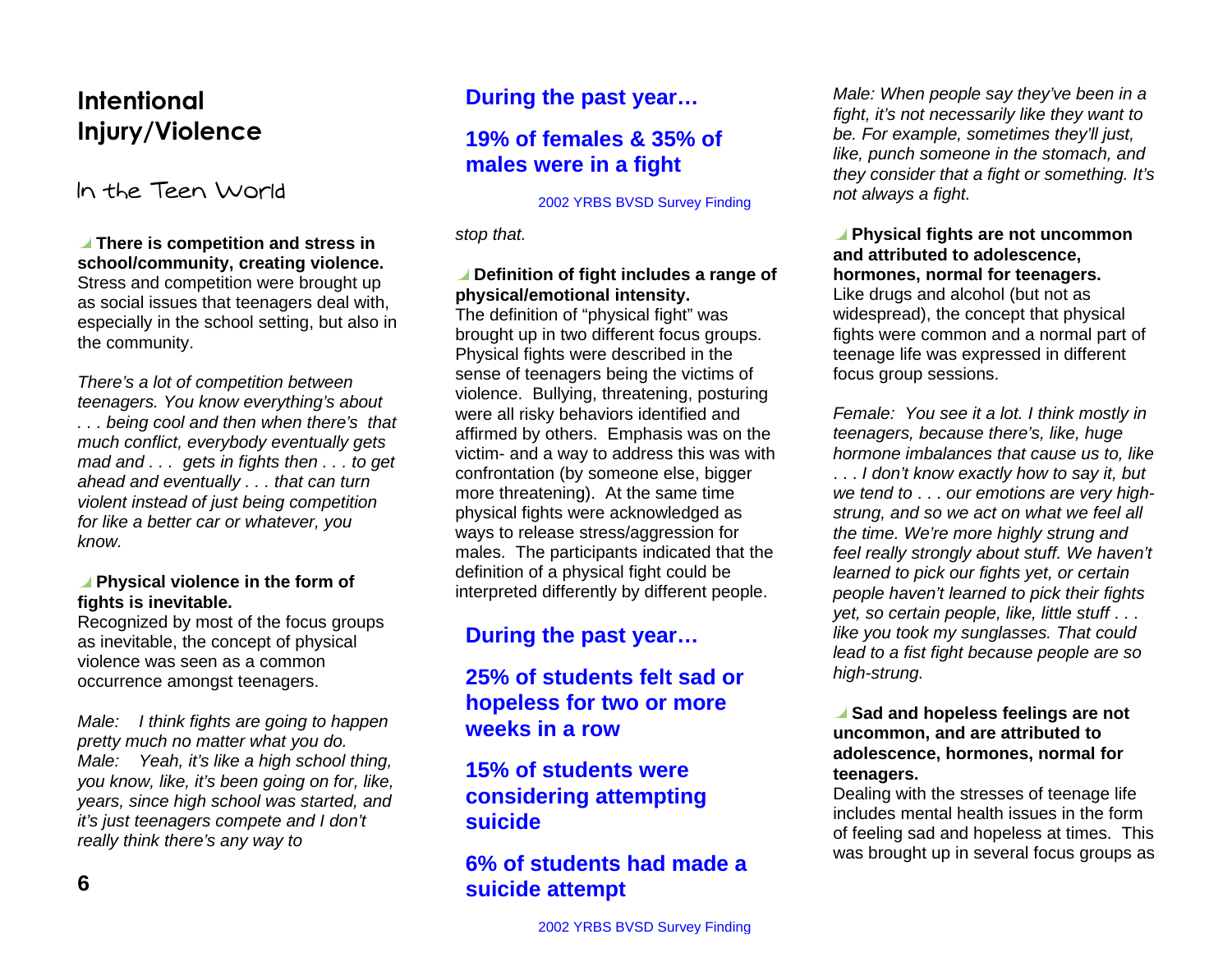## **-** Injury/Violence

In the Teen World

 **There is competition and stress in school/community, creating violence.**  Stress and competition were brought up as social issues that teenagers deal with, especially in the school setting, but also in the community.

There's a lot of competition between teenagers. You know everything's about . . . being cool and then when there's that much conflict, everybody eventually gets mad and . . . gets in fights then . . . to get ahead and eventually . . . that can turn violent instead of just being competition for like a better car or whatever, you know.

#### **Physical violence in the form of fights is inevitable.**

Recognized by most of the focus groups as inevitable, the concept of physical violence was seen as a common occurrence amongst teenagers.

Male: I think fights are going to happen pretty much no matter what you do. Male: Yeah, it's like a high school thing, you know, like, it's been going on for, like, years, since high school was started, and it's just teenagers compete and I don't really think there's any way to

## **During the past year…**

## **19% of females & 35% of males were in a fight**

#### 2002 YRBS BVSD Survey Finding

stop that.

#### **Definition of fight includes a range of physical/emotional intensity.**

The definition of "physical fight" was brought up in two different focus groups. Physical fights were described in the sense of teenagers being the victims of violence. Bullying, threatening, posturing were all risky behaviors identified and affirmed by others. Emphasis was on the victim- and a way to address this was with confrontation (by someone else, bigger more threatening). At the same time physical fights were acknowledged as ways to release stress/aggression for males. The participants indicated that the definition of a physical fight could be interpreted differently by different people.

## **During the past year…**

### **25% of students felt sad or hopeless for two or more weeks in a row**

## **15% of students were considering attempting suicide**

### **6% of students had made a suicide attempt**

Male: When people say they've been in a fight, it's not necessarily like they want to be. For example, sometimes they'll just, like, punch someone in the stomach, and they consider that a fight or something. It's not always a fight.

#### **Physical fights are not uncommon and attributed to adolescence, hormones, normal for teenagers.**

Like drugs and alcohol (but not as widespread), the concept that physical fights were common and a normal part of teenage life was expressed in different focus group sessions.

Female: You see it a lot. I think mostly in teenagers, because there's, like, huge hormone imbalances that cause us to, like

. . . I don't know exactly how to say it, but we tend to . . . our emotions are very highstrung, and so we act on what we feel all the time. We're more highly strung and feel really strongly about stuff. We haven't learned to pick our fights yet, or certain people haven't learned to pick their fights yet, so certain people, like, little stuff . . . like you took my sunglasses. That could lead to a fist fight because people are so high-strung.

#### **Sad and hopeless feelings are not uncommon, and are attributed to adolescence, hormones, normal for teenagers.**

Dealing with the stresses of teenage life includes mental health issues in the form of feeling sad and hopeless at times. This was brought up in several focus groups as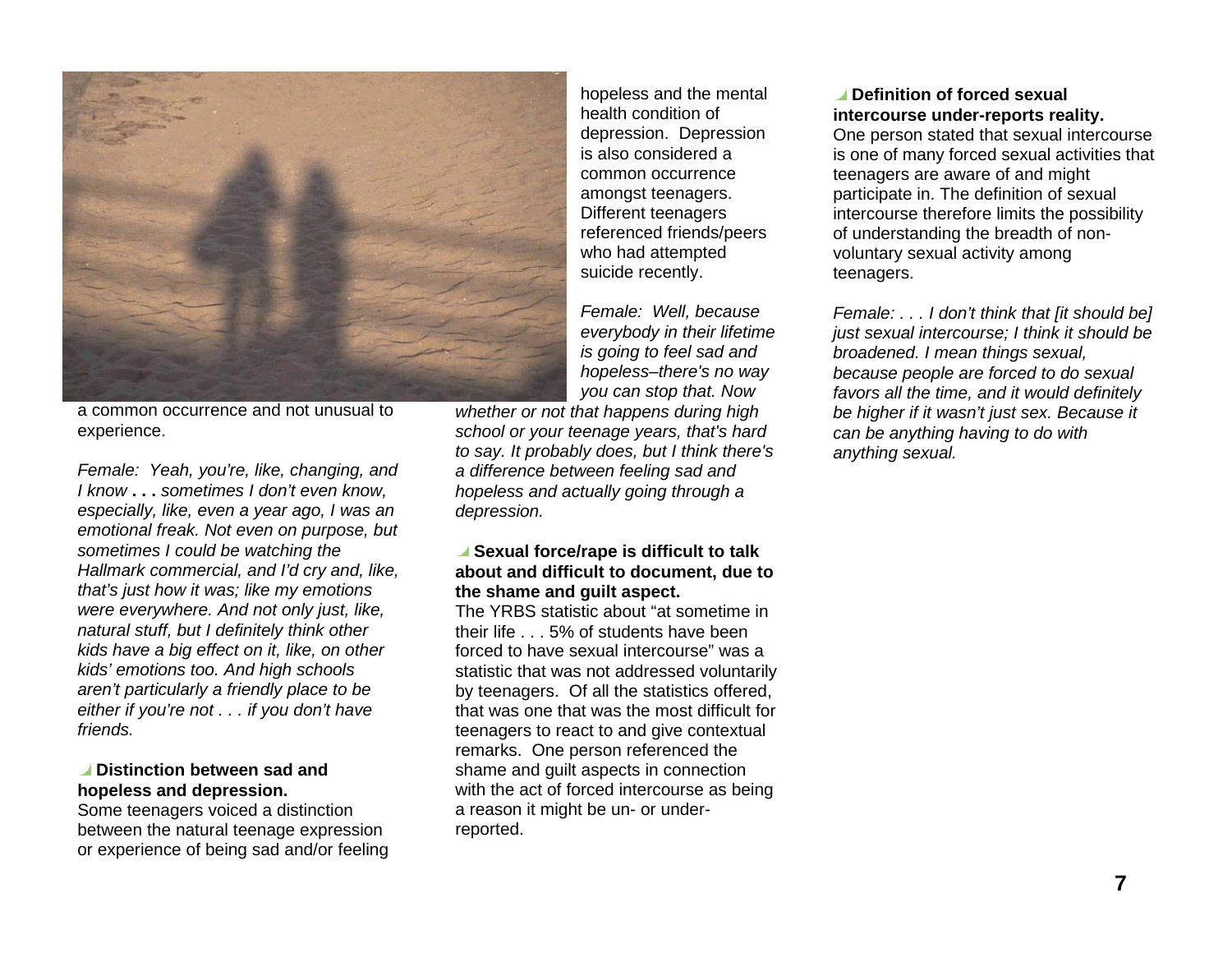

a common occurrence and not unusual to experience.

Female: Yeah, you're, like, changing, and I know **. . .** sometimes I don't even know, especially, like, even a year ago, I was an emotional freak. Not even on purpose, but sometimes I could be watching the Hallmark commercial, and I'd cry and, like, that's just how it was; like my emotions were everywhere. And not only just, like, natural stuff, but I definitely think other kids have a big effect on it, like, on other kids' emotions too. And high schools aren't particularly a friendly place to be either if you're not . . . if you don't have friends.

#### **Distinction between sad and hopeless and depression.**

Some teenagers voiced a distinction between the natural teenage expression or experience of being sad and/or feeling

hopeless and the mental health condition of depression. Depression is also considered a common occurrence amongst teenagers. Different teenagers referenced friends/peers who had attempted suicide recently.

Female: Well, because everybody in their lifetime is going to feel sad and hopeless–there's no way you can stop that. Now

whether or not that happens during high school or your teenage years, that's hard to say. It probably does, but I think there's a difference between feeling sad and hopeless and actually going through a depression.

#### **Sexual force/rape is difficult to talk about and difficult to document, due to the shame and guilt aspect.**

The YRBS statistic about "at sometime in their life . . . 5% of students have been forced to have sexual intercourse" was a statistic that was not addressed voluntarily by teenagers. Of all the statistics offered, that was one that was the most difficult for teenagers to react to and give contextual remarks. One person referenced the shame and guilt aspects in connection with the act of forced intercourse as being a reason it might be un- or underreported.

#### **Definition of forced sexual intercourse under-reports reality.**

One person stated that sexual intercourse is one of many forced sexual activities that teenagers are aware of and might participate in. The definition of sexual intercourse therefore limits the possibility of understanding the breadth of nonvoluntary sexual activity among teenagers.

Female: . . . I don't think that [it should be] just sexual intercourse; I think it should be broadened. I mean things sexual, because people are forced to do sexual favors all the time, and it would definitely be higher if it wasn't just sex. Because it can be anything having to do with anything sexual.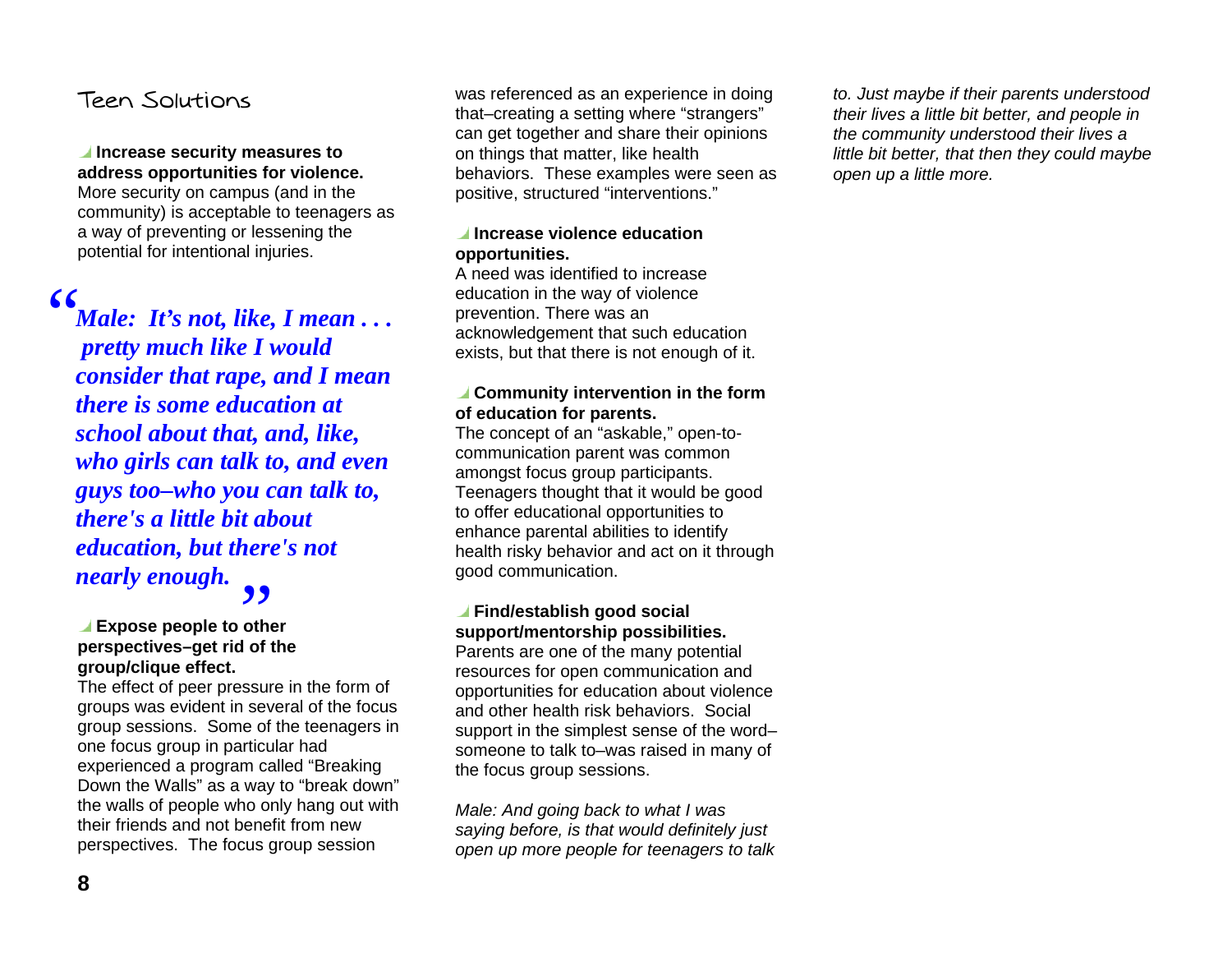### Teen Solutions

#### **Increase security measures to address opportunities for violence.**

More security on campus (and in the community) is acceptable to teenagers as a way of preventing or lessening the potential for intentional injuries.

",, *Male: It's not, like, I mean . . . pretty much like I would consider that rape, and I mean there is some education at school about that, and, like, who girls can talk to, and even guys too–who you can talk to, there's a little bit about education, but there's not nearly enough.* 

## **Expose people to other**  B**perspectives–get rid of the group/clique effect.**

The effect of peer pressure in the form of groups was evident in several of the focus group sessions. Some of the teenagers in one focus group in particular had experienced a program called "Breaking Down the Walls" as a way to "break down" the walls of people who only hang out with their friends and not benefit from new perspectives. The focus group session

was referenced as an experience in doing that–creating a setting where "strangers" can get together and share their opinions on things that matter, like health behaviors. These examples were seen as positive, structured "interventions."

#### **Increase violence education opportunities.**

A need was identified to increase education in the way of violence prevention. There was an acknowledgement that such education exists, but that there is not enough of it.

#### **Community intervention in the form of education for parents.**

The concept of an "askable," open-tocommunication parent was common amongst focus group participants. Teenagers thought that it would be good to offer educational opportunities to enhance parental abilities to identify health risky behavior and act on it through good communication.

#### **Find/establish good social support/mentorship possibilities.**

Parents are one of the many potential resources for open communication and opportunities for education about violence and other health risk behaviors. Social support in the simplest sense of the word– someone to talk to–was raised in many of the focus group sessions.

Male: And going back to what I was saying before, is that would definitely just open up more people for teenagers to talk to. Just maybe if their parents understood their lives a little bit better, and people in the community understood their lives a little bit better, that then they could maybe open up a little more.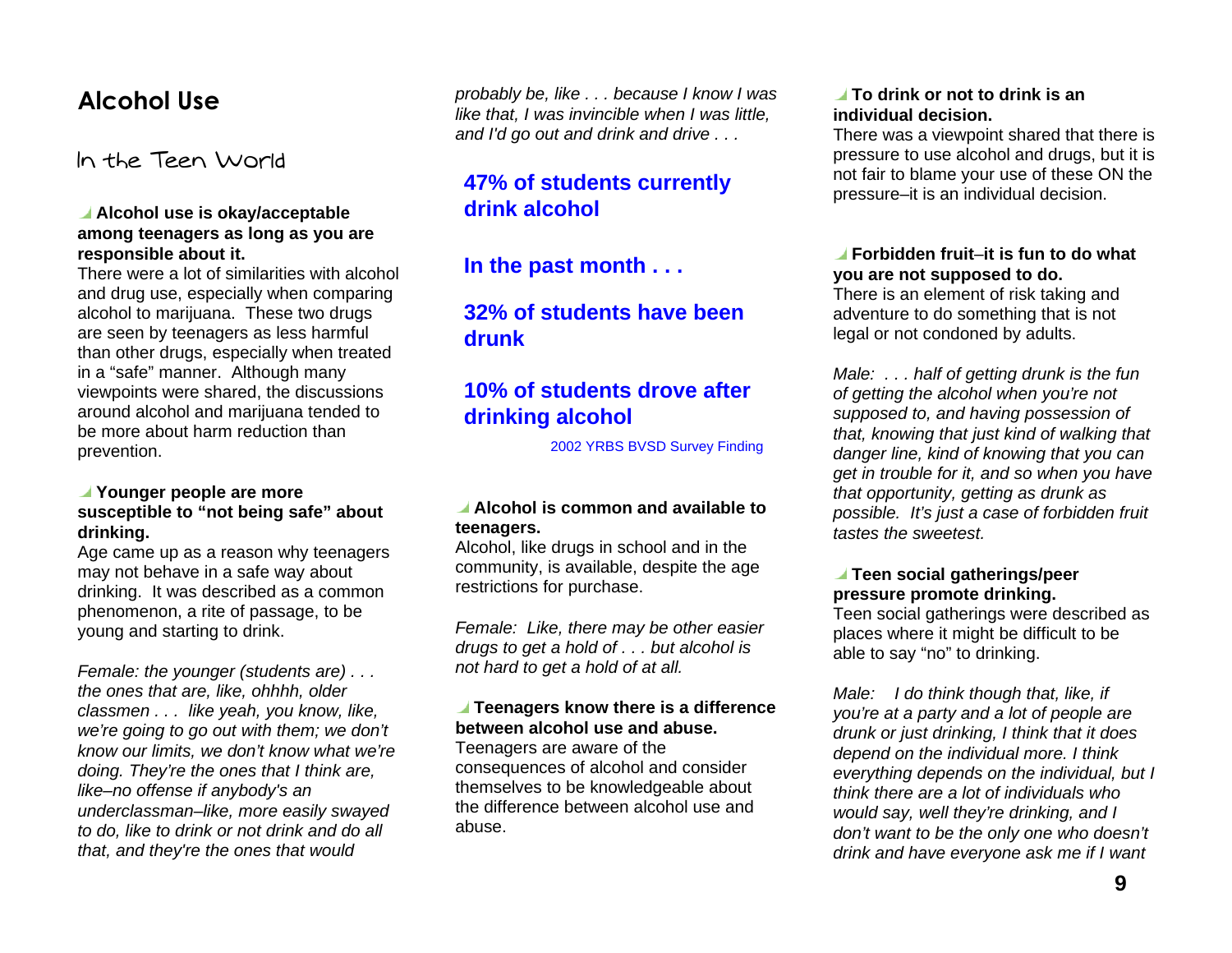## Alcohol Use

In the Teen World

#### **Alcohol use is okay/acceptable among teenagers as long as you are responsible about it.**

There were a lot of similarities with alcohol and drug use, especially when comparing alcohol to marijuana. These two drugs are seen by teenagers as less harmful than other drugs, especially when treated in a "safe" manner. Although many viewpoints were shared, the discussions around alcohol and marijuana tended to be more about harm reduction than prevention.

#### **Younger people are more susceptible to "not being safe" about drinking.**

Age came up as a reason why teenagers may not behave in a safe way about drinking. It was described as a common phenomenon, a rite of passage, to be young and starting to drink.

Female: the younger (students are) . . . the ones that are, like, ohhhh, older classmen . . . like yeah, you know, like, we're going to go out with them; we don't know our limits, we don't know what we're doing. They're the ones that I think are, like–no offense if anybody's an underclassman–like, more easily swayed to do, like to drink or not drink and do all that, and they're the ones that would

probably be, like . . . because I know I was like that, I was invincible when I was little, and I'd go out and drink and drive . . .

### **47% of students currently drink alcohol**

**In the past month . . .** 

### **32% of students have been drunk**

## **10% of students drove after drinking alcohol**

2002 YRBS BVSD Survey Finding

#### **Alcohol is common and available to teenagers.**

Alcohol, like drugs in school and in the community, is available, despite the age restrictions for purchase.

Female: Like, there may be other easier drugs to get a hold of . . . but alcohol is not hard to get a hold of at all.

#### **Teenagers know there is a difference between alcohol use and abuse.**

Teenagers are aware of the consequences of alcohol and consider themselves to be knowledgeable about the difference between alcohol use and abuse.

#### **To drink or not to drink is an individual decision.**

There was a viewpoint shared that there is pressure to use alcohol and drugs, but it is not fair to blame your use of these ON the pressure–it is an individual decision.

#### **Forbidden fruit**–**it is fun to do what you are not supposed to do.**

There is an element of risk taking and adventure to do something that is not legal or not condoned by adults.

Male: . . . half of getting drunk is the fun of getting the alcohol when you're not supposed to, and having possession of that, knowing that just kind of walking that danger line, kind of knowing that you can get in trouble for it, and so when you have that opportunity, getting as drunk as possible. It's just a case of forbidden fruit tastes the sweetest.

#### **Teen social gatherings/peer pressure promote drinking.**

Teen social gatherings were described as places where it might be difficult to be able to say "no" to drinking.

Male: I do think though that, like, if you're at a party and a lot of people are drunk or just drinking, I think that it does depend on the individual more. I think everything depends on the individual, but I think there are a lot of individuals who would say, well they're drinking, and I don't want to be the only one who doesn't drink and have everyone ask me if I want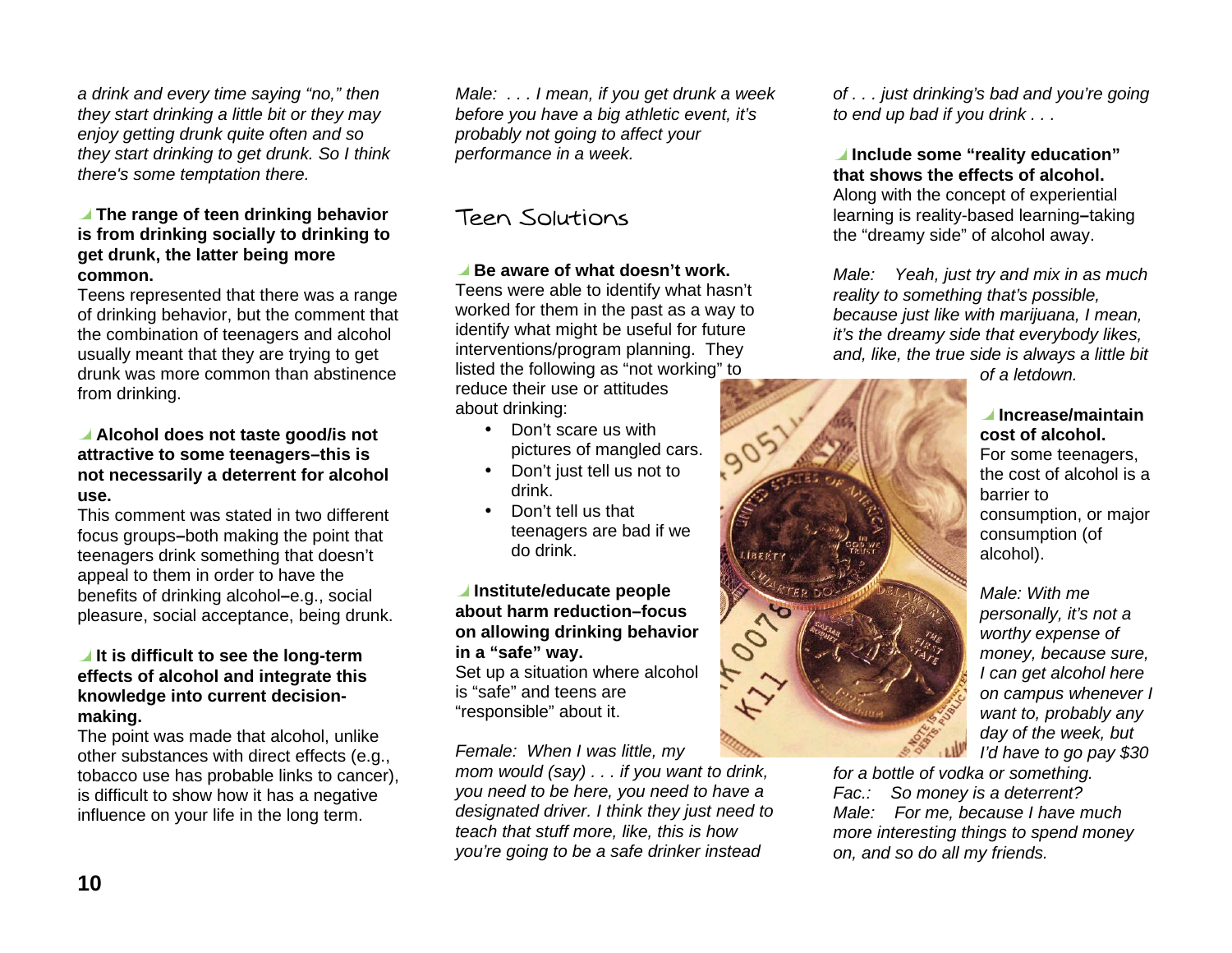a drink and every time saying "no," then they start drinking a little bit or they may enjoy getting drunk quite often and so they start drinking to get drunk. So I think there's some temptation there.

#### **The range of teen drinking behavior is from drinking socially to drinking to get drunk, the latter being more common.**

Teens represented that there was a range of drinking behavior, but the comment that the combination of teenagers and alcohol usually meant that they are trying to get drunk was more common than abstinence from drinking.

#### **Alcohol does not taste good/is not attractive to some teenagers–this is not necessarily a deterrent for alcohol use.**

This comment was stated in two different focus groups **–**both making the point that teenagers drink something that doesn't appeal to them in order to have the benefits of drinking alcohol **–**e.g., social pleasure, social acceptance, being drunk.

#### *I* It is difficult to see the long-term **effects of alcohol and integrate this knowledge into current decisionmaking.**

The point was made that alcohol, unlike other substances with direct effects (e.g., tobacco use has probable links to cancer), is difficult to show how it has a negative influence on your life in the long term.

Male: . . . I mean, if you get drunk a week before you have a big athletic event, it's probably not going to affect your performance in a week.

## Teen Solutions

#### **Be aware of what doesn't work.**

Teens were able to identify what hasn't worked for them in the past as a way to identify what might be useful for future interventions/program planning. They listed the following as "not working" to reduce their use or attitudes about drinking:

- Don't scare us with pictures of mangled cars.
- Don't just tell us not to drink.
- Don't tell us that teenagers are bad if we do drink.

#### **Institute/educate people about harm reduction–focus on allowing drinking behavior in a "safe" way.**

Set up a situation where alcohol is "safe" and teens are "responsible" about it.

Female: When I was little, my

mom would (say) . . . if you want to drink, you need to be here, you need to have a designated driver. I think they just need to teach that stuff more, like, this is how you're going to be a safe drinker instead

of . . . just drinking's bad and you're going to end up bad if you drink . . .

 **Include some "reality education" that shows the effects of alcohol.** Along with the concept of experiential learning is reality-based learning **–**taking the "dreamy side" of alcohol away.

Male: Yeah, just try and mix in as much reality to something that's possible, because just like with marijuana, I mean, it's the dreamy side that everybody likes, and, like, the true side is always a little bit



of a letdown.

#### **Increase/maintain cost of alcohol.**

For some teenagers, the cost of alcohol is a barrier to consumption, or major consumption (of alcohol).

Male: With me personally, it's not a worthy expense of money, because sure, I can get alcohol here on campus whenever I want to, probably any day of the week, but I'd have to go pay \$30

for a bottle of vodka or something. Fac.: So money is a deterrent? Male: For me, because I have much more interesting things to spend money on, and so do all my friends.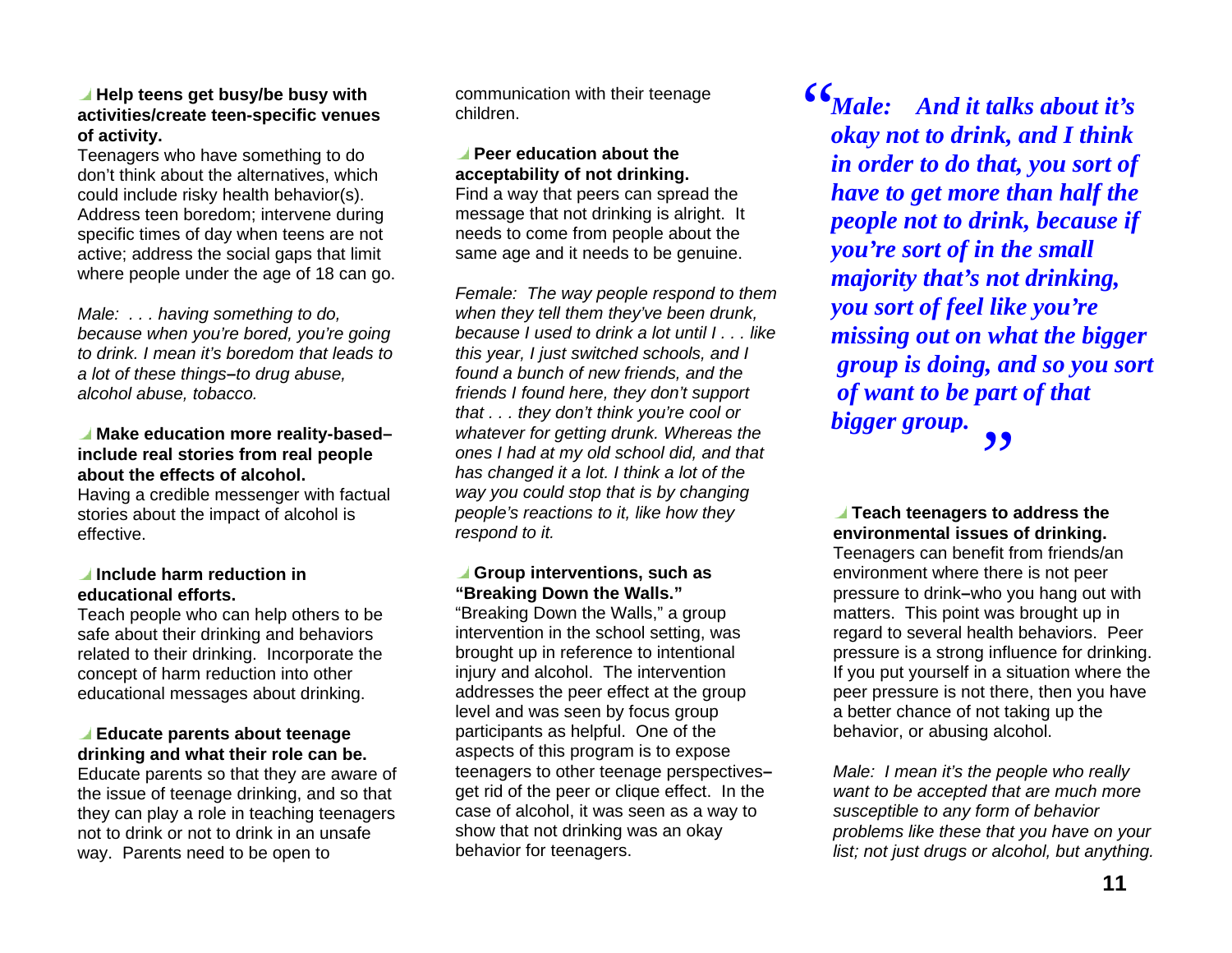#### **Help teens get busy/be busy with activities/create teen-specific venues of activity.**

Teenagers who have something to do don't think about the alternatives, which could include risky health behavior(s). Address teen boredom; intervene during specific times of day when teens are not active; address the social gaps that limit where people under the age of 18 can go.

Male: . . . having something to do, because when you're bored, you're going to drink. I mean it's boredom that leads to a lot of these things**–**to drug abuse, alcohol abuse, tobacco.

#### ■ Make education more reality-based– **include real stories from real people about the effects of alcohol.**

Having a credible messenger with factual stories about the impact of alcohol is effective.

#### *I* Include harm reduction in **educational efforts.**

Teach people who can help others to be safe about their drinking and behaviors related to their drinking. Incorporate the concept of harm reduction into other educational messages about drinking.

#### **Educate parents about teenage drinking and what their role can be.**

Educate parents so that they are aware of the issue of teenage drinking, and so that they can play a role in teaching teenagers not to drink or not to drink in an unsafe way. Parents need to be open to

communication with their teenage children.

### **Peer education about the acceptability of not drinking.**

Find a way that peers can spread the message that not drinking is alright. It needs to come from people about the same age and it needs to be genuine.

Female: The way people respond to them when they tell them they've been drunk, because I used to drink a lot until I . . . like this year, I just switched schools, and I found a bunch of new friends, and the friends I found here, they don't support that . . . they don't think you're cool or whatever for getting drunk. Whereas the ones I had at my old school did, and that has changed it a lot. I think a lot of the way you could stop that is by changing people's reactions to it, like how they respond to it.

#### **Group interventions, such as "Breaking Down the Walls."**

"Breaking Down the Walls," a group intervention in the school setting, was brought up in reference to intentional injury and alcohol. The intervention addresses the peer effect at the group level and was seen by focus group participants as helpful. One of the aspects of this program is to expose teenagers to other teenage perspectives **–**get rid of the peer or clique effect. In the case of alcohol, it was seen as a way to show that not drinking was an okay behavior for teenagers.

*Male: And it talks about it's okay not to drink, and I think in order to do that, you sort of have to get more than half the people not to drink, because if you're sort of in the small majority that's not drinking, you sort of feel like you're missing out on what the bigger group is doing, and so you sort of want to be part of that bigger group.*  "B,,

#### **Teach teenagers to address the environmental issues of drinking.**  Teenagers can benefit from friends/an environment where there is not peer pressure to drink**–**who you hang out with matters. This point was brought up in regard to several health behaviors. Peer pressure is a strong influence for drinking. If you put yourself in a situation where the peer pressure is not there, then you have a better chance of not taking up the behavior, or abusing alcohol.

Male: I mean it's the people who really want to be accepted that are much more susceptible to any form of behavior problems like these that you have on your list; not just drugs or alcohol, but anything.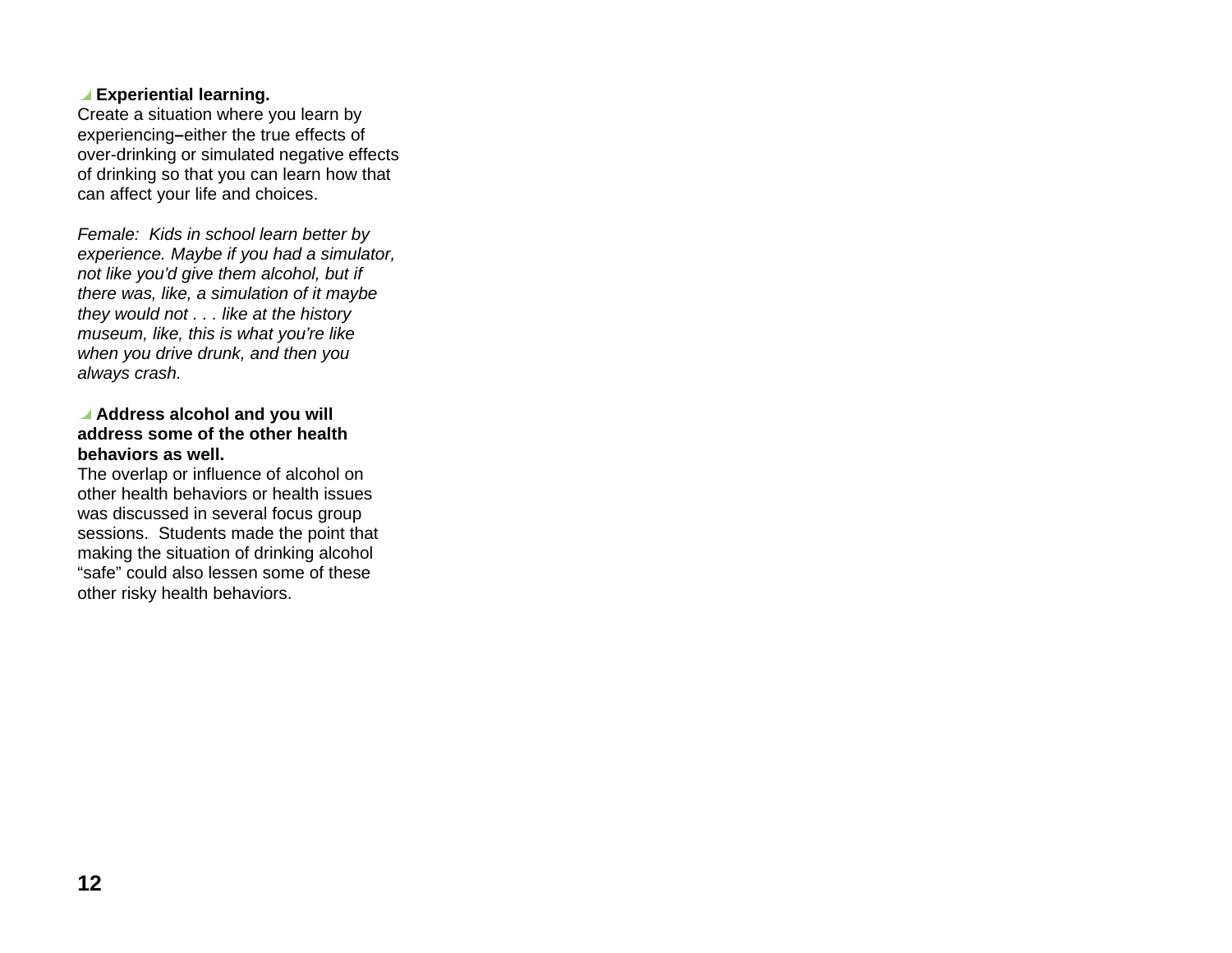#### **Experiential learning.**

Create a situation where you learn by experiencing**–**either the true effects of over-drinking or simulated negative effects of drinking so that you can learn how that can affect your life and choices.

Female: Kids in school learn better by experience. Maybe if you had a simulator, not like you'd give them alcohol, but if there was, like, a simulation of it maybe they would not . . . like at the history museum, like, this is what you're like when you drive drunk, and then you always crash.

#### **Address alcohol and you will address some of the other health behaviors as well.**

The overlap or influence of alcohol on other health behaviors or health issues was discussed in several focus group sessions. Students made the point that making the situation of drinking alcohol "safe" could also lessen some of these other risky health behaviors.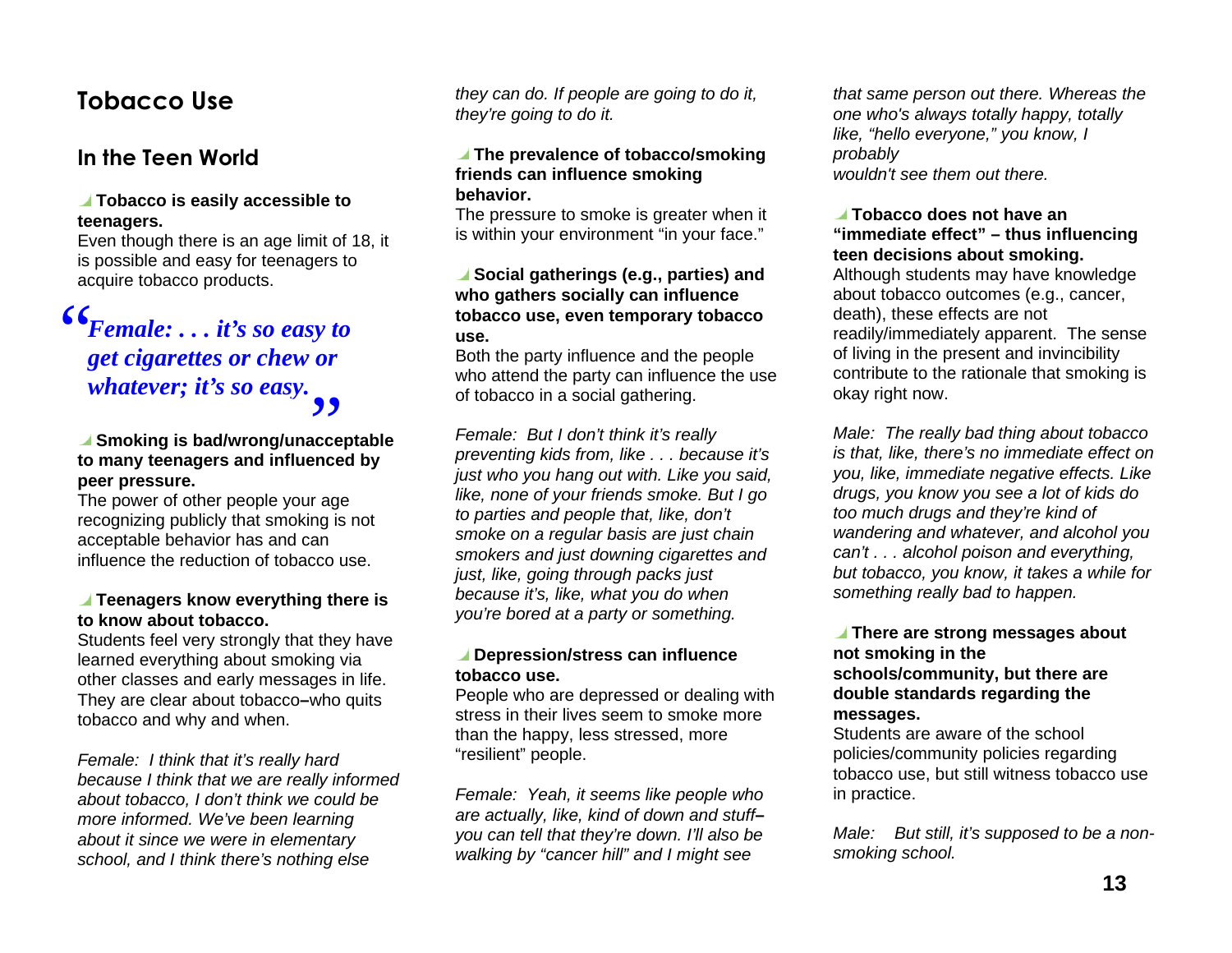## Tobacco Use

### In the Teen World

#### **Tobacco is easily accessible to teenagers.**

Even though there is an age limit of 18, it is possible and easy for teenagers to acquire tobacco products.

#### *Female: . . . it's so easy to get cigarettes or chew or whatever; it's so easy.*  ",,

## **Smoking is bad/wrong/unacceptable**  B**to many teenagers and influenced by peer pressure.**

The power of other people your age recognizing publicly that smoking is not acceptable behavior has and can influence the reduction of tobacco use.

#### **Teenagers know everything there is to know about tobacco.**

Students feel very strongly that they have learned everything about smoking via other classes and early messages in life. They are clear about tobacco **–**who quits tobacco and why and when.

Female: I think that it's really hard because I think that we are really informed about tobacco, I don't think we could be more informed. We've been learning about it since we were in elementary school, and I think there's nothing else

they can do. If people are going to do it, they're going to do it.

#### **The prevalence of tobacco/smoking friends can influence smoking behavior.**

The pressure to smoke is greater when it is within your environment "in your face."

#### **Social gatherings (e.g., parties) and who gathers socially can influence tobacco use, even temporary tobacco use.**

Both the party influence and the people who attend the party can influence the use of tobacco in a social gathering.

Female: But I don't think it's really preventing kids from, like . . . because it's just who you hang out with. Like you said, like, none of your friends smoke. But I go to parties and people that, like, don't smoke on a regular basis are just chain smokers and just downing cigarettes and just, like, going through packs just because it's, like, what you do when you're bored at a party or something.

#### **Depression/stress can influence tobacco use.**

People who are depressed or dealing with stress in their lives seem to smoke more than the happy, less stressed, more "resilient" people.

Female: Yeah, it seems like people who are actually, like, kind of down and stuff**–** you can tell that they're down. I'll also be walking by "cancer hill" and I might see

that same person out there. Whereas the one who's always totally happy, totally like, "hello everyone," you know, I probably wouldn't see them out there.

#### **Tobacco does not have an "immediate effect" – thus influencing teen decisions about smoking.** Although students may have knowledge about tobacco outcomes (e.g., cancer, death), these effects are not readily/immediately apparent. The sense of living in the present and invincibility contribute to the rationale that smoking is okay right now.

Male: The really bad thing about tobacco is that, like, there's no immediate effect on you, like, immediate negative effects. Like drugs, you know you see a lot of kids do too much drugs and they're kind of wandering and whatever, and alcohol you can't . . . alcohol poison and everything, but tobacco, you know, it takes a while for something really bad to happen.

#### **There are strong messages about not smoking in the schools/community, but there are double standards regarding the messages.**

Students are aware of the school policies/community policies regarding tobacco use, but still witness tobacco use in practice.

Male: But still, it's supposed to be a nonsmoking school.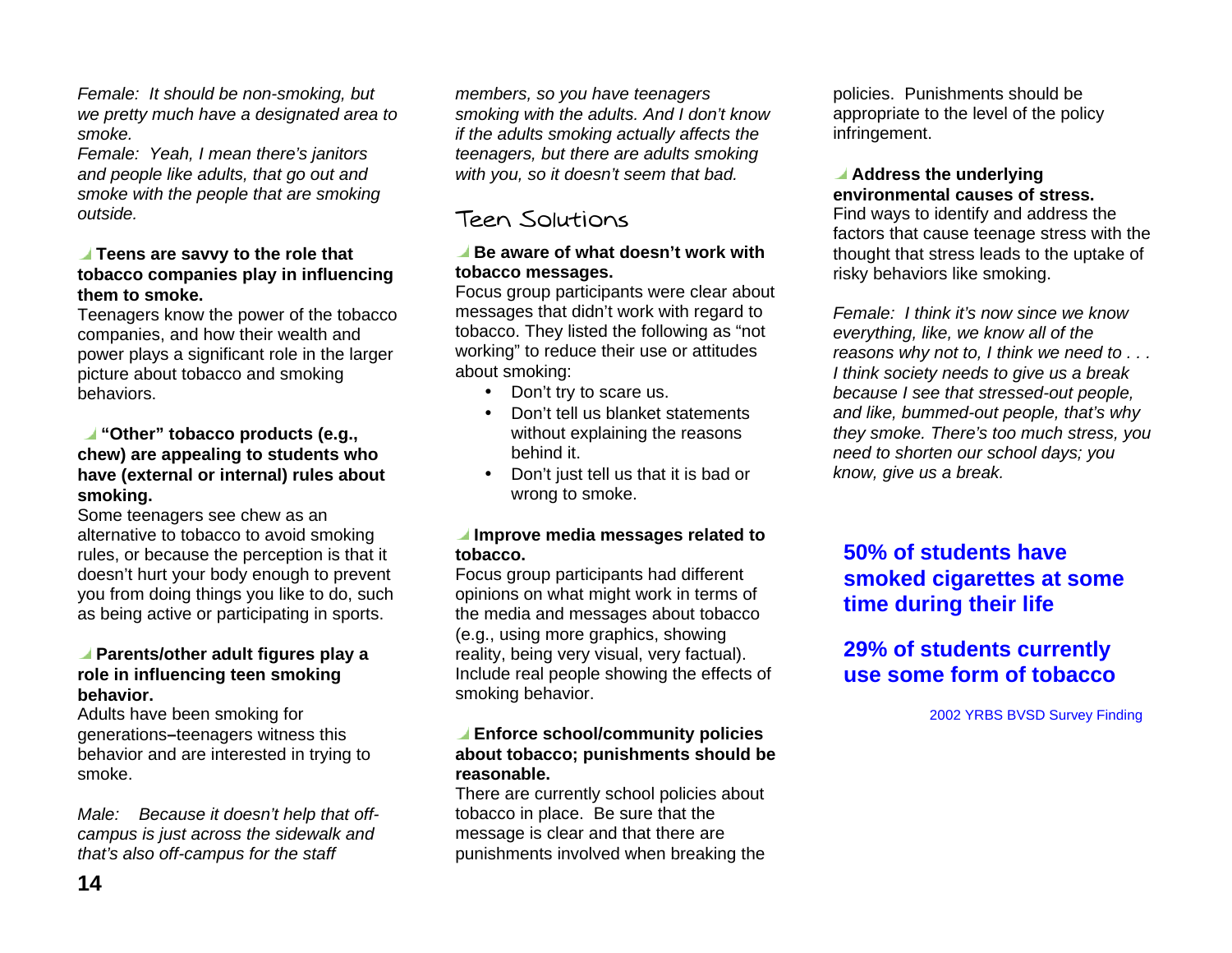Female: It should be non-smoking, but we pretty much have a designated area to smoke.

Female: Yeah, I mean there's janitors and people like adults, that go out and smoke with the people that are smoking outside.

#### **Teens are savvy to the role that tobacco companies play in influencing them to smoke.**

Teenagers know the power of the tobacco companies, and how their wealth and power plays a significant role in the larger picture about tobacco and smoking behaviors.

#### **"Other" tobacco products (e.g., chew) are appealing to students who have (external or internal) rules about smoking.**

Some teenagers see chew as an alternative to tobacco to avoid smoking rules, or because the perception is that it doesn't hurt your body enough to prevent you from doing things you like to do, such as being active or participating in sports.

#### **Parents/other adult figures play a role in influencing teen smoking behavior.**

Adults have been smoking for generations **–**teenagers witness this behavior and are interested in trying to smoke.

Male: Because it doesn't help that offcampus is just across the sidewalk and that's also off-campus for the staff

members, so you have teenagers smoking with the adults. And I don't know if the adults smoking actually affects the teenagers, but there are adults smoking with you, so it doesn't seem that bad.

## Teen Solutions

#### **Be aware of what doesn't work with tobacco messages.**

Focus group participants were clear about messages that didn't work with regard to tobacco. They listed the following as "not working" to reduce their use or attitudes about smoking:

- Don't try to scare us.
- Don't tell us blanket statements without explaining the reasons behind it.
- Don't just tell us that it is bad or wrong to smoke.

#### **Improve media messages related to tobacco.**

Focus group participants had different opinions on what might work in terms of the media and messages about tobacco (e.g., using more graphics, showing reality, being very visual, very factual). Include real people showing the effects of smoking behavior.

#### **Enforce school/community policies about tobacco; punishments should be reasonable.**

There are currently school policies about tobacco in place. Be sure that the message is clear and that there are punishments involved when breaking the

policies. Punishments should be appropriate to the level of the policy infringement.

#### **Address the underlying environmental causes of stress.**

Find ways to identify and address the factors that cause teenage stress with the thought that stress leads to the uptake of risky behaviors like smoking.

Female: I think it's now since we know everything, like, we know all of the reasons why not to, I think we need to . . . I think society needs to give us a break because I see that stressed-out people, and like, bummed-out people, that's why they smoke. There's too much stress, you need to shorten our school days; you know, give us a break.

## **50% of students have smoked cigarettes at some time during their life**

## **29% of students currently use some form of tobacco**

2002 YRBS BVSD Survey Finding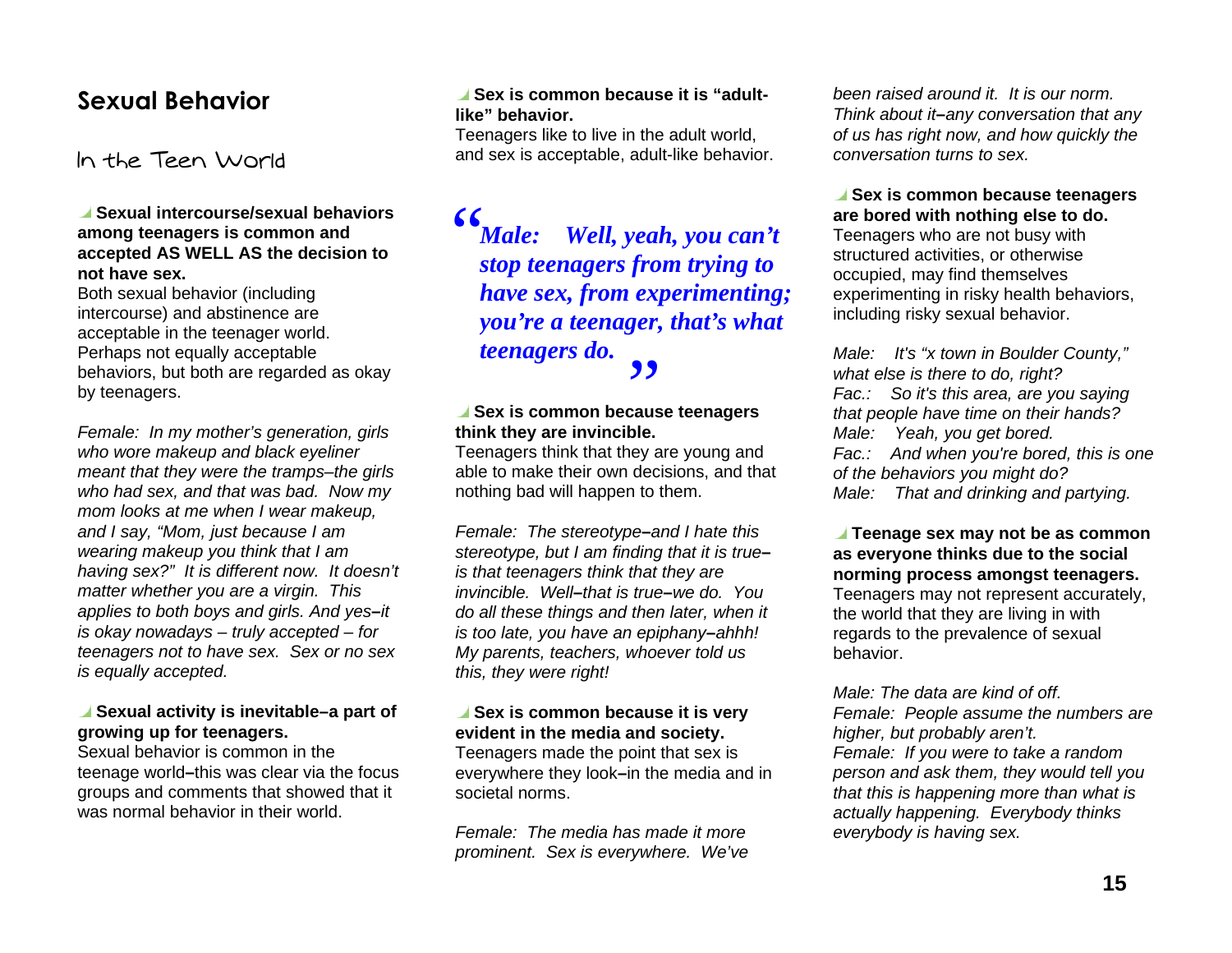## **Sexual Behavior**

In the Teen World

#### **Sexual intercourse/sexual behaviors among teenagers is common and accepted AS WELL AS the decision to not have sex.**

Both sexual behavior (including intercourse) and abstinence are acceptable in the teenager world. Perhaps not equally acceptable behaviors, but both are regarded as okay by teenagers.

Female: In my mother's generation, girls who wore makeup and black eyeliner meant that they were the tramps–the girls who had sex, and that was bad. Now my mom looks at me when I wear makeup, and I say, "Mom, just because I am wearing makeup you think that I am having sex?" It is different now. It doesn't matter whether you are a virgin. This applies to both boys and girls. And yes**–**it is okay nowadays – truly accepted – for teenagers not to have sex. Sex or no sex is equally accepted.

#### ■ Sexual activity is inevitable–a part of **growing up for teenagers.**

Sexual behavior is common in the teenage world **–**this was clear via the focus groups and comments that showed that it was normal behavior in their world.

#### **Sex is common because it is "adultlike" behavior.**

Teenagers like to live in the adult world, and sex is acceptable, adult-like behavior.

*Male: Well, yeah, you can't stop teenagers from trying to have sex, from experimenting; you're a teenager, that's what teenagers do.*  ",,

# **Sex is common because teenagers think they are invincible.**

Teenagers think that they are young and able to make their own decisions, and that nothing bad will happen to them.

Female: The stereotype**–**and I hate this stereotype, but I am finding that it is true**–** is that teenagers think that they are invincible. Well**–**that is true**–**we do. You do all these things and then later, when it is too late, you have an epiphany**–**ahhh! My parents, teachers, whoever told us this, they were right!

#### **■ Sex is common because it is very evident in the media and society.**

Teenagers made the point that sex is everywhere they look**–**in the media and in societal norms.

Female: The media has made it more prominent. Sex is everywhere. We've

been raised around it. It is our norm. Think about it**–**any conversation that any of us has right now, and how quickly the conversation turns to sex.

 **Sex is common because teenagers are bored with nothing else to do.**  Teenagers who are not busy with structured activities, or otherwise occupied, may find themselves experimenting in risky health behaviors, including risky sexual behavior.

Male: It's "x town in Boulder County." what else is there to do, right? Fac.: So it's this area, are you saying that people have time on their hands? Male: Yeah, you get bored. Fac.: And when you're bored, this is one of the behaviors you might do? Male: That and drinking and partying.

 **Teenage sex may not be as common as everyone thinks due to the social norming process amongst teenagers.**  Teenagers may not represent accurately, the world that they are living in with regards to the prevalence of sexual behavior.

Male: The data are kind of off. Female: People assume the numbers are higher, but probably aren't. Female: If you were to take a random person and ask them, they would tell you that this is happening more than what is actually happening. Everybody thinks everybody is having sex.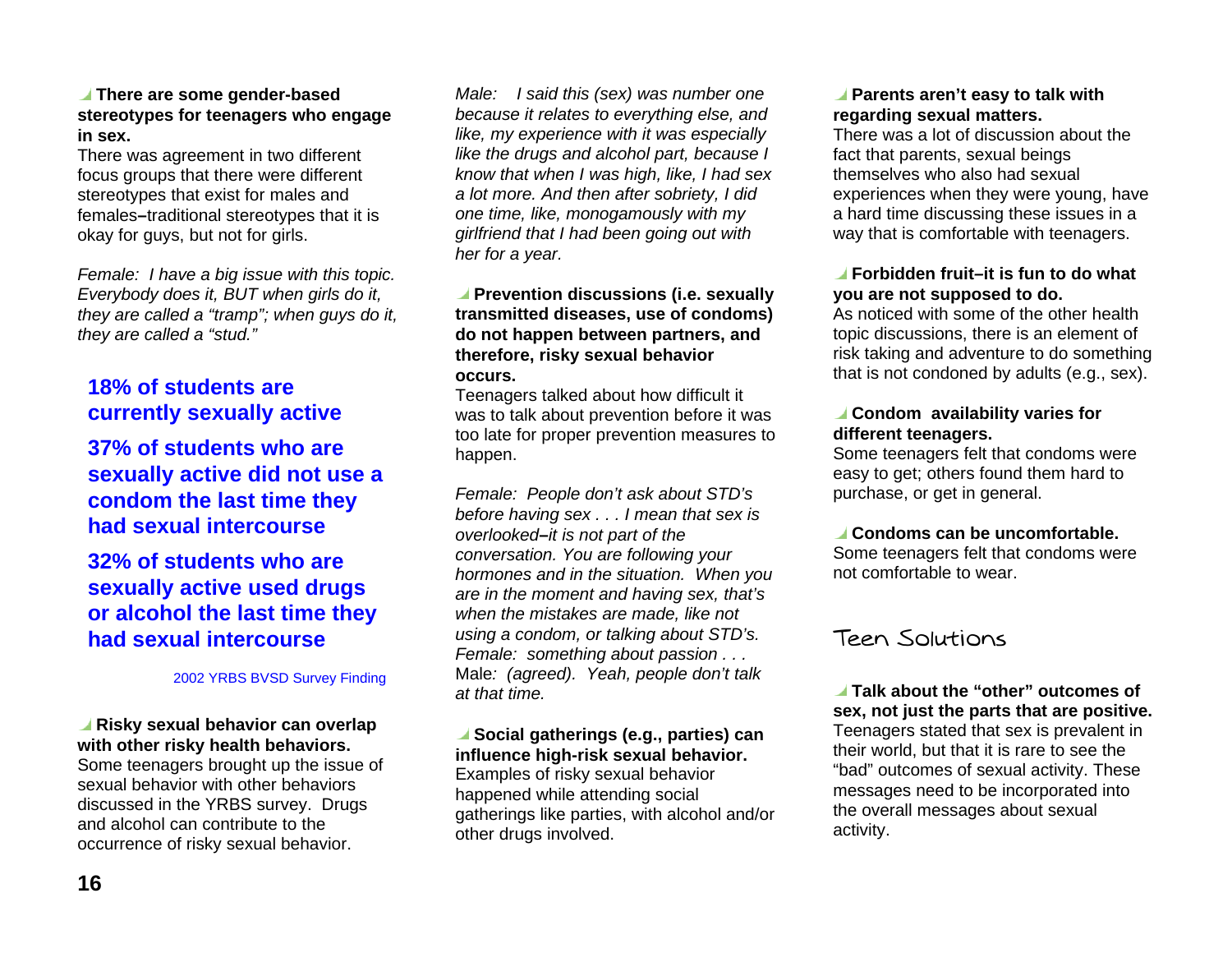#### **There are some gender-based stereotypes for teenagers who engage in sex.**

There was agreement in two different focus groups that there were different stereotypes that exist for males and females **–**traditional stereotypes that it is okay for guys, but not for girls.

Female: I have a big issue with this topic. Everybody does it, BUT when girls do it, they are called a "tramp"; when guys do it, they are called a "stud."

### **18% of students are currently sexually active**

**37% of students who are sexually active did not use a condom the last time they had sexual intercourse** 

**32% of students who are sexually active used drugs or alcohol the last time they had sexual intercourse** 

2002 YRBS BVSD Survey Finding

#### **Risky sexual behavior can overlap with other risky health behaviors.** Some teenagers brought up the issue of sexual behavior with other behaviors discussed in the YRBS survey. Drugs and alcohol can contribute to the occurrence of risky sexual behavior.

Male: I said this (sex) was number one because it relates to everything else, and like, my experience with it was especially like the drugs and alcohol part, because I know that when I was high, like, I had sex a lot more. And then after sobriety, I did one time, like, monogamously with my girlfriend that I had been going out with her for a year.

#### **Prevention discussions (i.e. sexually transmitted diseases, use of condoms) do not happen between partners, and therefore, risky sexual behavior occurs.**

Teenagers talked about how difficult it was to talk about prevention before it was too late for proper prevention measures to happen.

Female: People don't ask about STD's before having sex . . . I mean that sex is overlooked**–**it is not part of the conversation. You are following your hormones and in the situation. When you are in the moment and having sex, that's when the mistakes are made, like not using a condom, or talking about STD's. Female: something about passion . . . Male: (agreed). Yeah, people don't talk at that time.

#### **Social gatherings (e.g., parties) can influence high-risk sexual behavior.**

Examples of risky sexual behavior happened while attending social gatherings like parties, with alcohol and/or other drugs involved.

#### **Parents aren't easy to talk with regarding sexual matters.**

There was a lot of discussion about the fact that parents, sexual beings themselves who also had sexual experiences when they were young, have a hard time discussing these issues in a way that is comfortable with teenagers.

#### **Forbidden fruit–it is fun to do what you are not supposed to do.**

As noticed with some of the other health topic discussions, there is an element of risk taking and adventure to do something that is not condoned by adults (e.g., sex).

#### **Condom availability varies for different teenagers.**

Some teenagers felt that condoms were easy to get; others found them hard to purchase, or get in general.

#### **Condoms can be uncomfortable.**

Some teenagers felt that condoms were not comfortable to wear.

### Teen Solutions

 **Talk about the "other" outcomes of sex, not just the parts that are positive.**  Teenagers stated that sex is prevalent in their world, but that it is rare to see the "bad" outcomes of sexual activity. These messages need to be incorporated into the overall messages about sexual activity.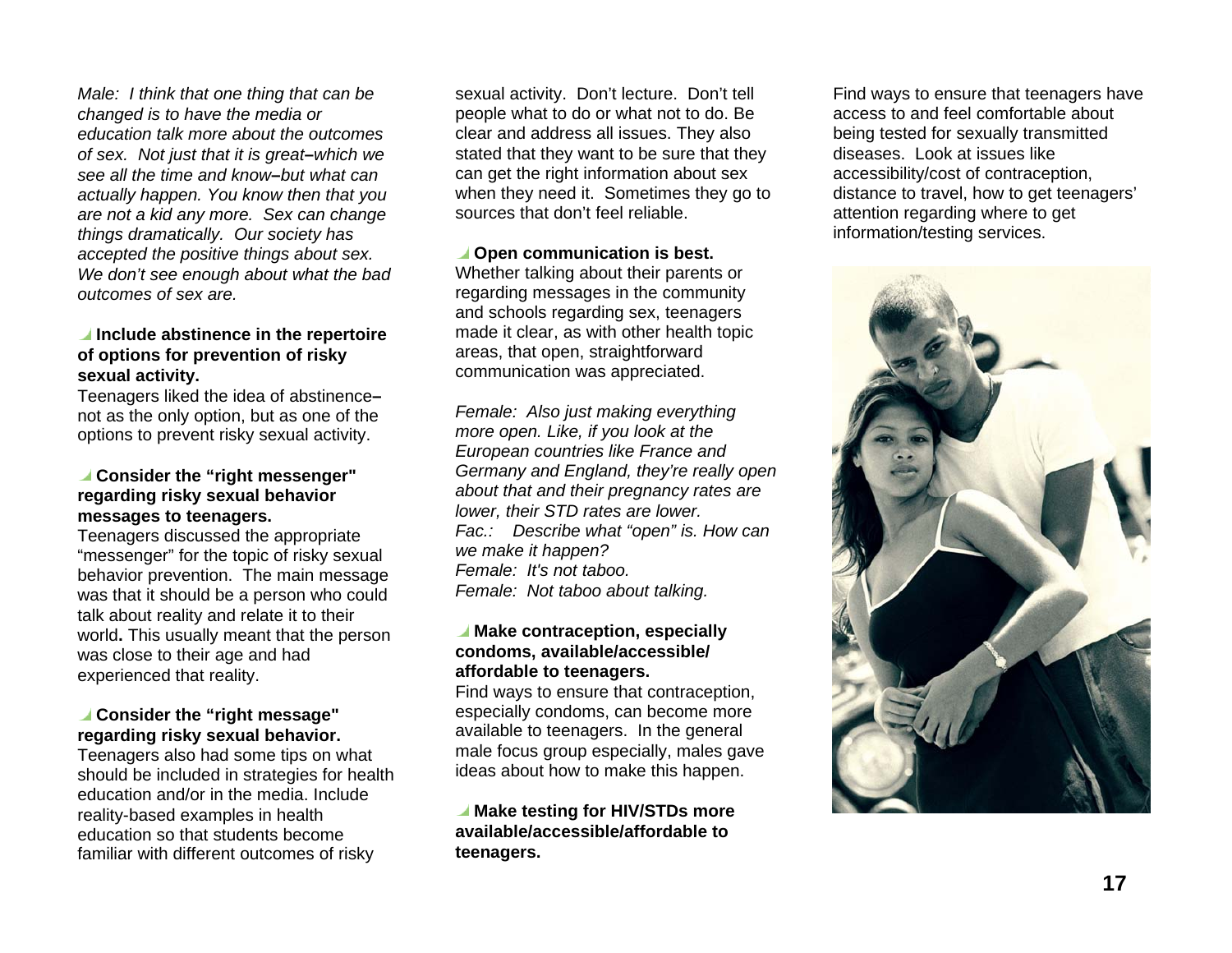Male: I think that one thing that can be changed is to have the media or education talk more about the outcomes of sex. Not just that it is great**–**which we see all the time and know**–**but what can actually happen. You know then that you are not a kid any more. Sex can change things dramatically. Our society has accepted the positive things about sex. We don't see enough about what the bad outcomes of sex are.

#### **Include abstinence in the repertoire of options for prevention of risky sexual activity.**

Teenagers liked the idea of abstinence **–**not as the only option, but as one of the options to prevent risky sexual activity.

#### **Consider the "right messenger" regarding risky sexual behavior messages to teenagers.**

Teenagers discussed the appropriate "messenger" for the topic of risky sexual behavior prevention. The main message was that it should be a person who could talk about reality and relate it to their world**.** This usually meant that the person was close to their age and had experienced that reality.

#### **Consider the "right message" regarding risky sexual behavior.**

Teenagers also had some tips on what should be included in strategies for health education and/or in the media. Include reality-based examples in health education so that students become familiar with different outcomes of risky

sexual activity. Don't lecture. Don't tell people what to do or what not to do. Be clear and address all issues. They also stated that they want to be sure that they can get the right information about sex when they need it. Sometimes they go to sources that don't feel reliable.

#### *<u>I*</u> Open communication is best.

Whether talking about their parents or regarding messages in the community and schools regarding sex, teenagers made it clear, as with other health topic areas, that open, straightforward communication was appreciated.

Female: Also just making everything more open. Like, if you look at the European countries like France and Germany and England, they're really open about that and their pregnancy rates are lower, their STD rates are lower. Fac.: Describe what "open" is. How can we make it happen? Female: It's not taboo. Female: Not taboo about talking.

#### **Make contraception, especially condoms, available/accessible/ affordable to teenagers.**

Find ways to ensure that contraception, especially condoms, can become more available to teenagers. In the general male focus group especially, males gave ideas about how to make this happen.

#### **Make testing for HIV/STDs more available/accessible/affordable to teenagers.**

Find ways to ensure that teenagers have access to and feel comfortable about being tested for sexually transmitted diseases. Look at issues like accessibility/cost of contraception, distance to travel, how to get teenagers' attention regarding where to get information/testing services.

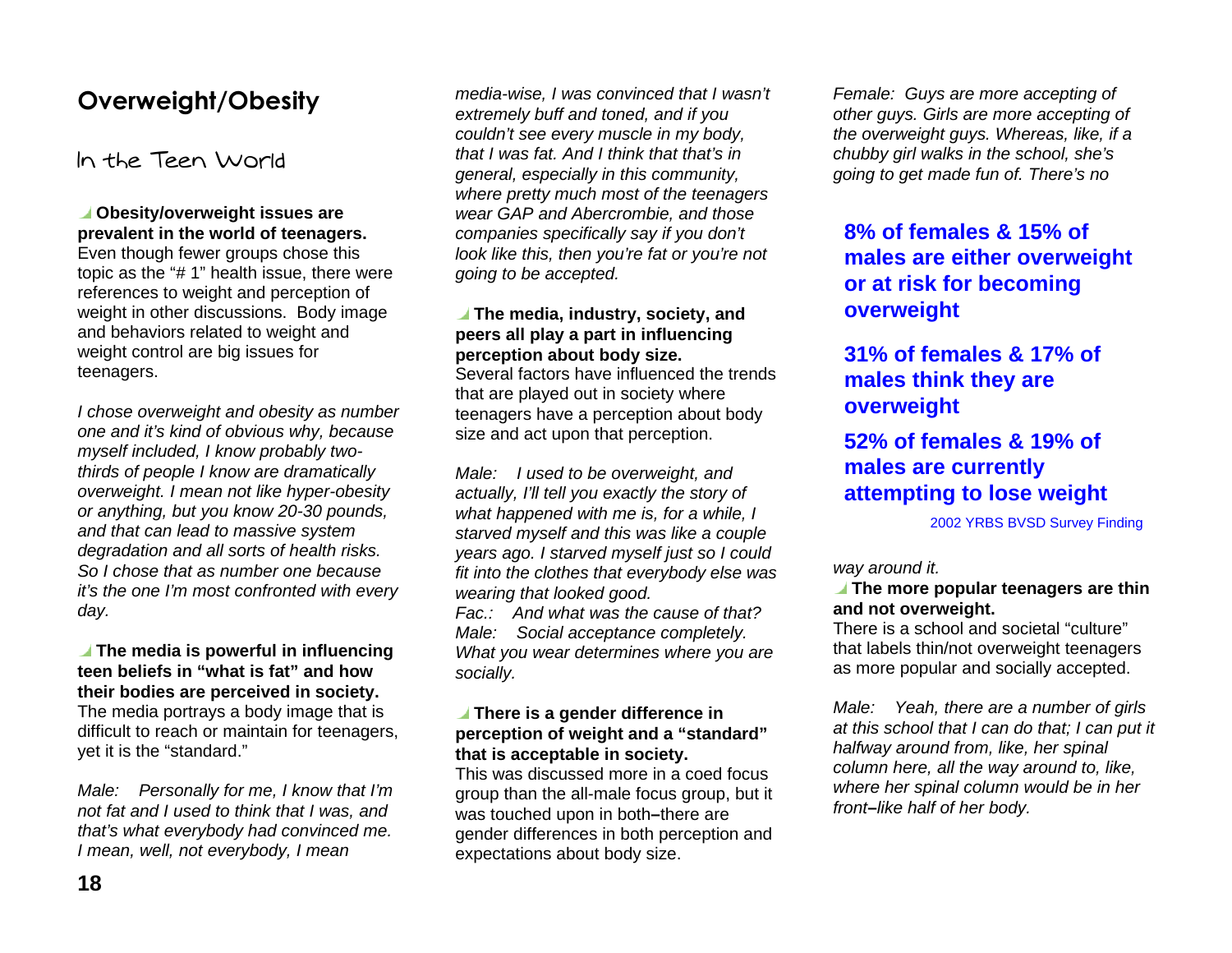## Overweight/Obesity

In the Teen World

#### **Obesity/overweight issues are prevalent in the world of teenagers.**

Even though fewer groups chose this topic as the "# 1" health issue, there were references to weight and perception of weight in other discussions. Body image and behaviors related to weight and weight control are big issues for teenagers.

I chose overweight and obesity as number one and it's kind of obvious why, because myself included, I know probably twothirds of people I know are dramatically overweight. I mean not like hyper-obesity or anything, but you know 20-30 pounds, and that can lead to massive system degradation and all sorts of health risks. So I chose that as number one because it's the one I'm most confronted with every day.

#### **The media is powerful in influencing teen beliefs in "what is fat" and how their bodies are perceived in society.**  The media portrays a body image that is difficult to reach or maintain for teenagers, yet it is the "standard."

Male: Personally for me, I know that I'm not fat and I used to think that I was, and that's what everybody had convinced me. I mean, well, not everybody, I mean

media-wise, I was convinced that I wasn't extremely buff and toned, and if you couldn't see every muscle in my body, that I was fat. And I think that that's in general, especially in this community, where pretty much most of the teenagers wear GAP and Abercrombie, and those companies specifically say if you don't look like this, then you're fat or you're not going to be accepted.

#### **The media, industry, society, and peers all play a part in influencing perception about body size.**

Several factors have influenced the trends that are played out in society where teenagers have a perception about body size and act upon that perception.

Male: I used to be overweight, and actually, I'll tell you exactly the story of what happened with me is, for a while, I starved myself and this was like a couple years ago. I starved myself just so I could fit into the clothes that everybody else was wearing that looked good. Fac.: And what was the cause of that?

Male: Social acceptance completely. What you wear determines where you are socially.

#### **There is a gender difference in perception of weight and a "standard" that is acceptable in society.**

This was discussed more in a coed focus group than the all-male focus group, but it was touched upon in both **–**there are gender differences in both perception and expectations about body size.

Female: Guys are more accepting of other guys. Girls are more accepting of the overweight guys. Whereas, like, if a chubby girl walks in the school, she's going to get made fun of. There's no

### **8% of females & 15% of males are either overweight or at risk for becoming overweight**

## **31% of females & 17% of males think they are overweight**

### **52% of females & 19% of males are currently attempting to lose weight**

2002 YRBS BVSD Survey Finding

#### way around it.

 **The more popular teenagers are thin and not overweight.**

There is a school and societal "culture" that labels thin/not overweight teenagers as more popular and socially accepted.

Male: Yeah, there are a number of girls at this school that I can do that; I can put it halfway around from, like, her spinal column here, all the way around to, like, where her spinal column would be in her front**–**like half of her body.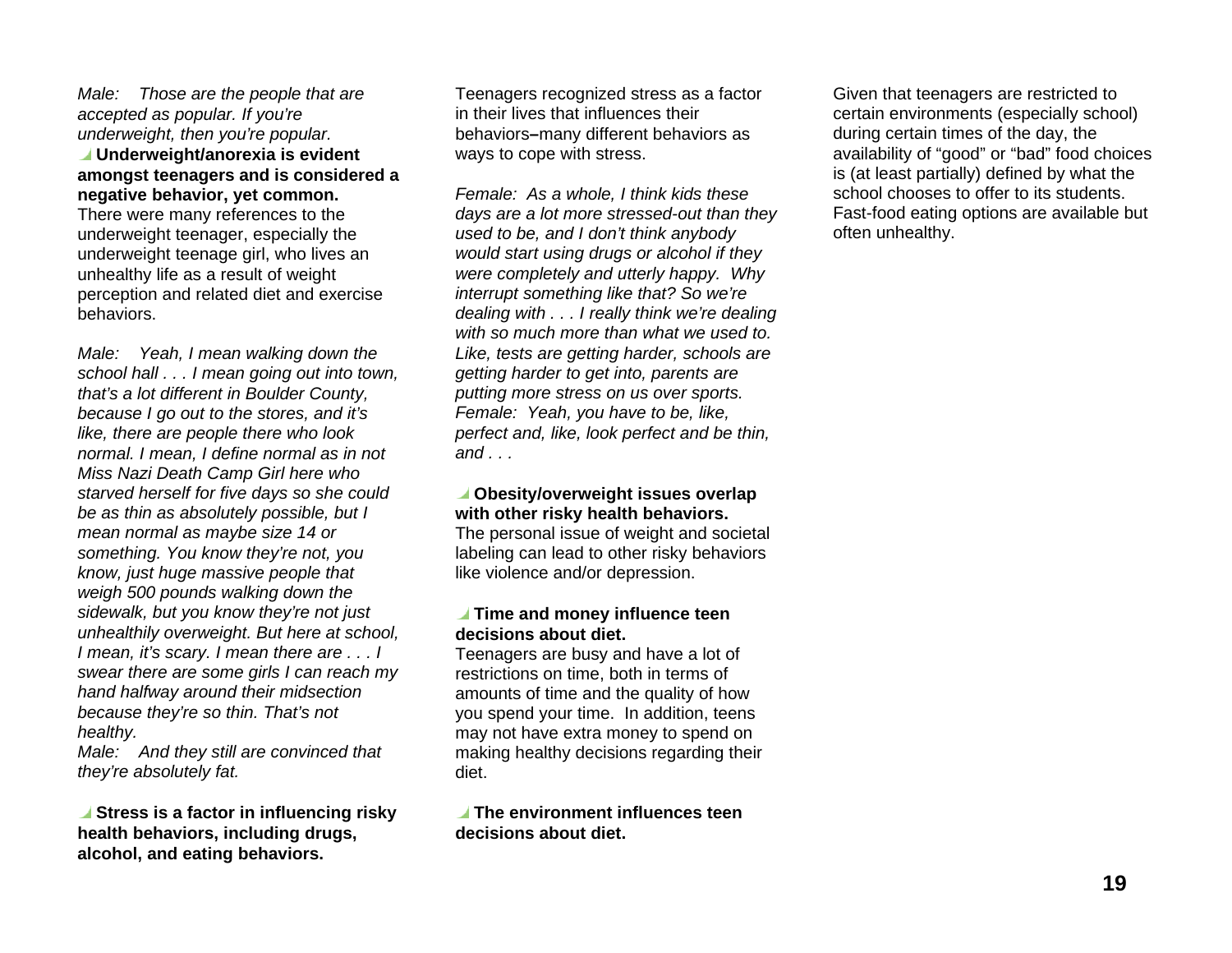Male: Those are the people that are accepted as popular. If you're underweight, then you're popular.

 **Underweight/anorexia is evident amongst teenagers and is considered a negative behavior, yet common.** There were many references to the underweight teenager, especially the

underweight teenage girl, who lives an unhealthy life as a result of weight perception and related diet and exercise behaviors.

Male: Yeah, I mean walking down the school hall . . . I mean going out into town, that's a lot different in Boulder County, because I go out to the stores, and it's like, there are people there who look normal. I mean, I define normal as in not Miss Nazi Death Camp Girl here who starved herself for five days so she could be as thin as absolutely possible, but I mean normal as maybe size 14 or something. You know they're not, you know, just huge massive people that weigh 500 pounds walking down the sidewalk, but you know they're not just unhealthily overweight. But here at school, I mean, it's scary. I mean there are . . . I swear there are some girls I can reach my hand halfway around their midsection because they're so thin. That's not healthy.

Male: And they still are convinced that they're absolutely fat.

**■** Stress is a factor in influencing risky **health behaviors, including drugs, alcohol, and eating behaviors.** 

Teenagers recognized stress as a factor in their lives that influences their behaviors**–**many different behaviors as ways to cope with stress.

Female: As a whole, I think kids these days are a lot more stressed-out than they used to be, and I don't think anybody would start using drugs or alcohol if they were completely and utterly happy. Why interrupt something like that? So we're dealing with . . . I really think we're dealing with so much more than what we used to. Like, tests are getting harder, schools are getting harder to get into, parents are putting more stress on us over sports. Female: Yeah, you have to be, like, perfect and, like, look perfect and be thin, and  $\ldots$ 

#### **Obesity/overweight issues overlap with other risky health behaviors.**

The personal issue of weight and societal labeling can lead to other risky behaviors like violence and/or depression.

#### **Time and money influence teen decisions about diet.**

Teenagers are busy and have a lot of restrictions on time, both in terms of amounts of time and the quality of how you spend your time. In addition, teens may not have extra money to spend on making healthy decisions regarding their diet.

 **The environment influences teen decisions about diet.**

Given that teenagers are restricted to certain environments (especially school) during certain times of the day, the availability of "good" or "bad" food choices is (at least partially) defined by what the school chooses to offer to its students. Fast-food eating options are available but often unhealthy.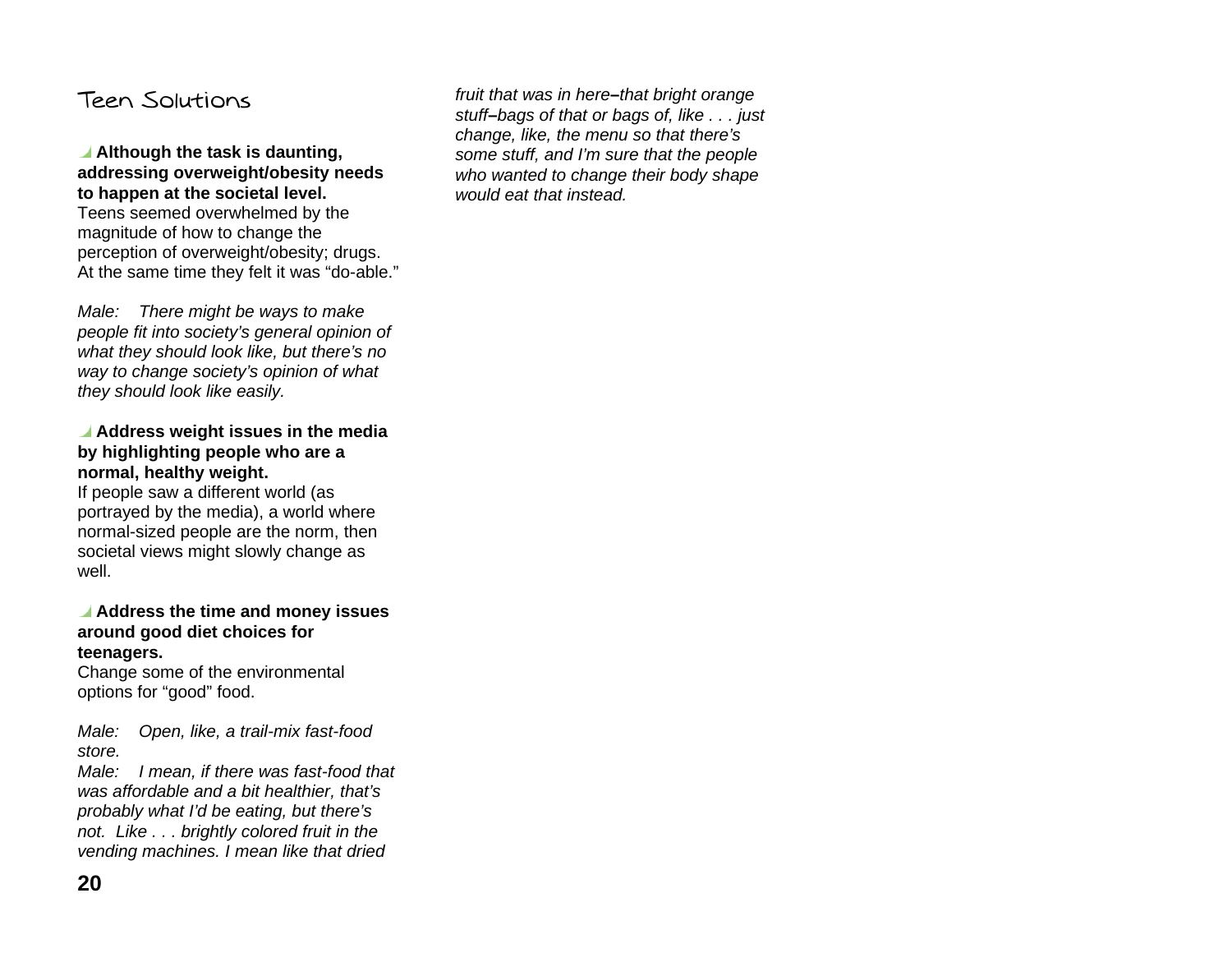## Teen Solutions

#### **Although the task is daunting, addressing overweight/obesity needs to happen at the societal level.**  Teens seemed overwhelmed by the magnitude of how to change the perception of overweight/obesity; drugs. At the same time they felt it was "do-able."

Male: There might be ways to make people fit into society's general opinion of what they should look like, but there's no way to change society's opinion of what they should look like easily.

#### **Address weight issues in the media by highlighting people who are a normal, healthy weight.**

If people saw a different world (as portrayed by the media), a world where normal-sized people are the norm, then societal views might slowly change as well.

#### **Address the time and money issues around good diet choices for teenagers.**

Change some of the environmental options for "good" food.

Male: Open, like, a trail-mix fast-food store.

Male: I mean, if there was fast-food that was affordable and a bit healthier, that's probably what I'd be eating, but there's not. Like . . . brightly colored fruit in the vending machines. I mean like that dried

fruit that was in here**–**that bright orange stuff**–**bags of that or bags of, like . . . just change, like, the menu so that there's some stuff, and I'm sure that the people who wanted to change their body shape would eat that instead.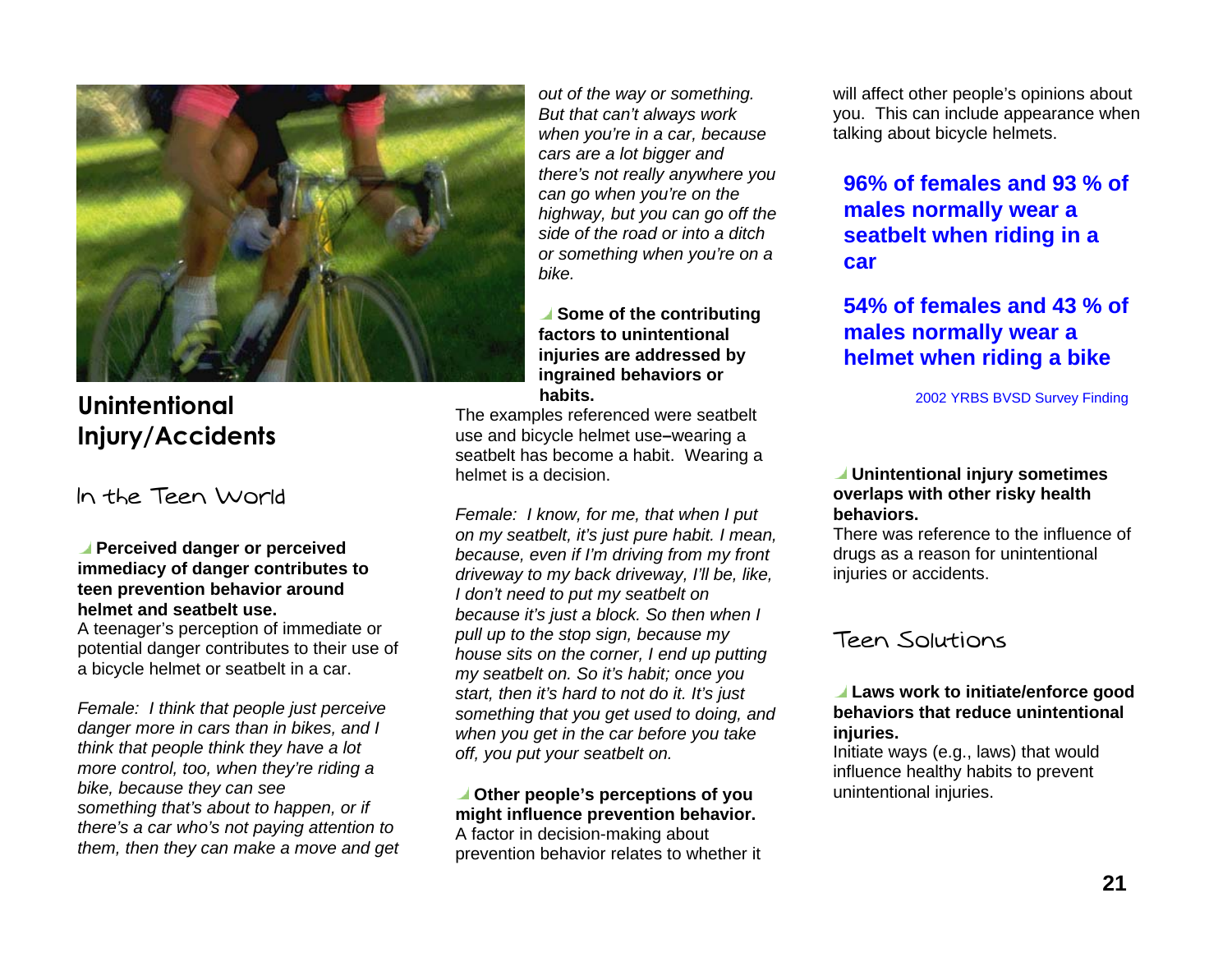

## Unintentional **Injury/Accidents**

### In the Teen World

#### **Perceived danger or perceived immediacy of danger contributes to teen prevention behavior around helmet and seatbelt use.**

A teenager's perception of immediate or potential danger contributes to their use of a bicycle helmet or seatbelt in a car.

Female: I think that people just perceive danger more in cars than in bikes, and I think that people think they have a lot more control, too, when they're riding a bike, because they can see something that's about to happen, or if there's a car who's not paying attention to them, then they can make a move and get

out of the way or something. But that can't always work when you're in a car, because cars are a lot bigger and there's not really anywhere you can go when you're on the highway, but you can go off the side of the road or into a ditch or something when you're on a bike.

#### **■** Some of the contributing **factors to unintentional injuries are addressed by ingrained behaviors or habits.**

The examples referenced were seatbelt use and bicycle helmet use **–**wearing a seatbelt has become a habit. Wearing a helmet is a decision.

Female: I know, for me, that when I put on my seatbelt, it's just pure habit. I mean, because, even if I'm driving from my front driveway to my back driveway, I'll be, like, I don't need to put my seatbelt on because it's just a block. So then when I pull up to the stop sign, because my house sits on the corner, I end up putting my seatbelt on. So it's habit; once you start, then it's hard to not do it. It's just something that you get used to doing, and when you get in the car before you take off, you put your seatbelt on.

#### **Other people's perceptions of you might influence prevention behavior.**  A factor in decision-making about prevention behavior relates to whether it

will affect other people's opinions about you. This can include appearance when talking about bicycle helmets.

### **96% of females and 93 % ofmales normally wear a seatbelt when riding in a car**

### **54% of females and 43 % ofmales normally wear a helmet when riding a bike**

2002 YRBS BVSD Survey Finding

#### **Unintentional injury sometimes overlaps with other risky health behaviors.**

There was reference to the influence of drugs as a reason for unintentional injuries or accidents.

## Teen Solutions

#### **Laws work to initiate/enforce good behaviors that reduce unintentional injuries.**

Initiate ways (e.g., laws) that would influence healthy habits to prevent unintentional injuries.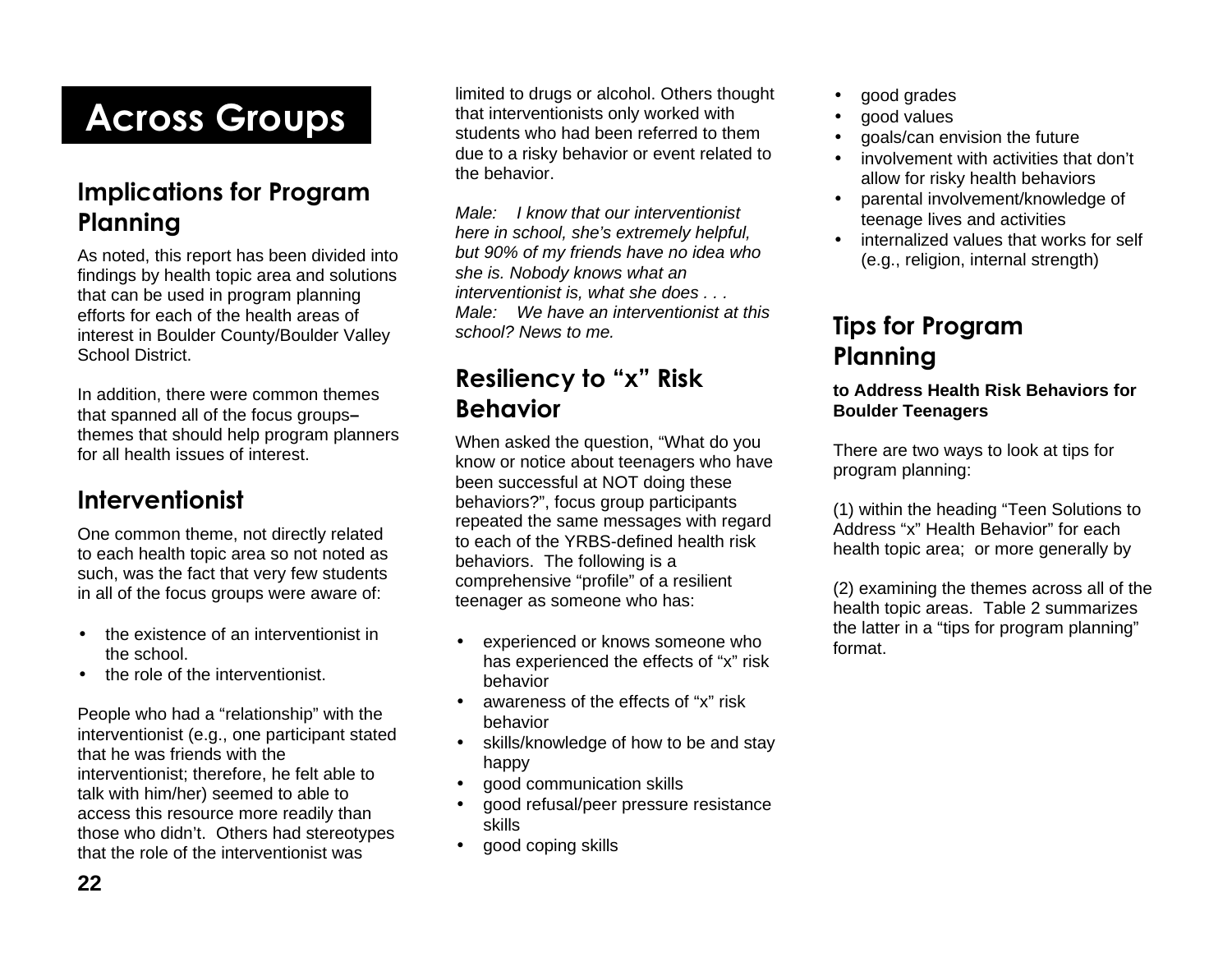# **Across Groups**

## Implications for Program **Planning**

As noted, this report has been divided into findings by health topic area and solutions that can be used in program planning efforts for each of the health areas of interest in Boulder County/Boulder Valley School District.

In addition, there were common themes that spanned all of the focus groups **–** themes that should help program planners for all health issues of interest.

## **)
-**

One common theme, not directly related to each health topic area so not noted as such, was the fact that very few students in all of the focus groups were aware of:

- the existence of an interventionist in the school.
- the role of the interventionist.

People who had a "relationship" with the interventionist (e.g., one participant stated that he was friends with the interventionist; therefore, he felt able to talk with him/her) seemed to able to access this resource more readily than those who didn't. Others had stereotypes that the role of the interventionist was

limited to drugs or alcohol. Others thought that interventionists only worked with students who had been referred to them due to a risky behavior or event related to the behavior.

Male: I know that our interventionist here in school, she's extremely helpful, but 90% of my friends have no idea who she is. Nobody knows what an interventionist is, what she does . . . Male: We have an interventionist at this school? News to me.

## Resiliency to "x" Risk Behavior

When asked the question, "What do you know or notice about teenagers who have been successful at NOT doing these behaviors?", focus group participants repeated the same messages with regard to each of the YRBS-defined health risk behaviors. The following is a comprehensive "profile" of a resilient teenager as someone who has:

- experienced or knows someone who has experienced the effects of "x" risk behavior
- awareness of the effects of "x" risk behavior
- skills/knowledge of how to be and stay happy
- good communication skills
- good refusal/peer pressure resistance skills
- good coping skills
- good grades
- good values
- goals/can envision the future
- involvement with activities that don't allow for risky health behaviors
- parental involvement/knowledge of teenage lives and activities
- internalized values that works for self (e.g., religion, internal strength)

## **Tips for Program Planning**

#### **to Address Health Risk Behaviors for Boulder Teenagers**

There are two ways to look at tips for program planning:

(1) within the heading "Teen Solutions to Address "x" Health Behavior" for each health topic area; or more generally by

(2) examining the themes across all of the health topic areas. Table 2 summarizes the latter in a "tips for program planning" format.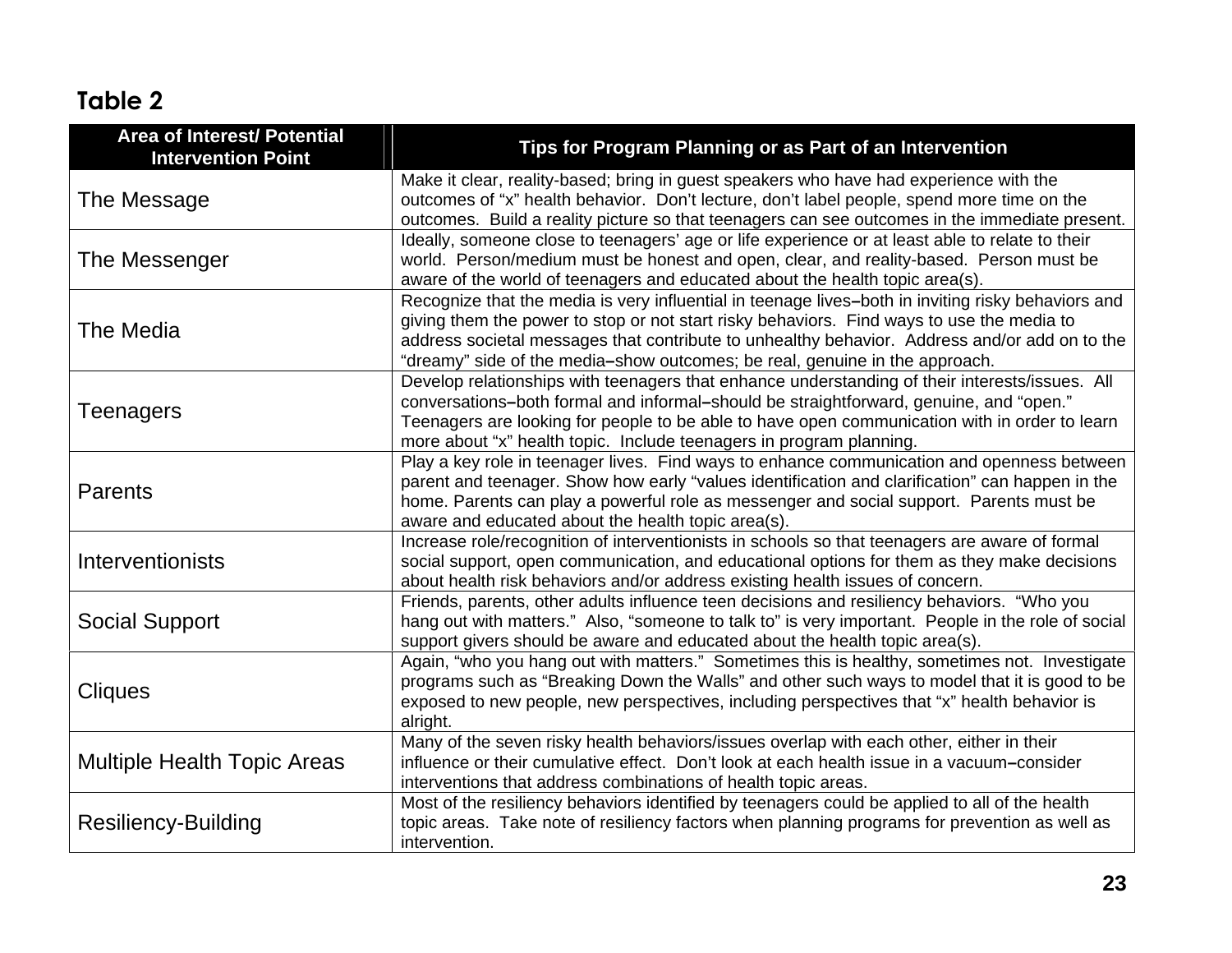## Table 2

| <b>Area of Interest/ Potential</b><br><b>Intervention Point</b> | Tips for Program Planning or as Part of an Intervention                                                                                                                                                                                                                                                                                                                         |
|-----------------------------------------------------------------|---------------------------------------------------------------------------------------------------------------------------------------------------------------------------------------------------------------------------------------------------------------------------------------------------------------------------------------------------------------------------------|
| The Message                                                     | Make it clear, reality-based; bring in guest speakers who have had experience with the<br>outcomes of "x" health behavior. Don't lecture, don't label people, spend more time on the<br>outcomes. Build a reality picture so that teenagers can see outcomes in the immediate present.                                                                                          |
| The Messenger                                                   | Ideally, someone close to teenagers' age or life experience or at least able to relate to their<br>world. Person/medium must be honest and open, clear, and reality-based. Person must be<br>aware of the world of teenagers and educated about the health topic area(s).                                                                                                       |
| <b>The Media</b>                                                | Recognize that the media is very influential in teenage lives-both in inviting risky behaviors and<br>giving them the power to stop or not start risky behaviors. Find ways to use the media to<br>address societal messages that contribute to unhealthy behavior. Address and/or add on to the<br>"dreamy" side of the media-show outcomes; be real, genuine in the approach. |
| Teenagers                                                       | Develop relationships with teenagers that enhance understanding of their interests/issues. All<br>conversations-both formal and informal-should be straightforward, genuine, and "open."<br>Teenagers are looking for people to be able to have open communication with in order to learn<br>more about "x" health topic. Include teenagers in program planning.                |
| Parents                                                         | Play a key role in teenager lives. Find ways to enhance communication and openness between<br>parent and teenager. Show how early "values identification and clarification" can happen in the<br>home. Parents can play a powerful role as messenger and social support. Parents must be<br>aware and educated about the health topic area(s).                                  |
| Interventionists                                                | Increase role/recognition of interventionists in schools so that teenagers are aware of formal<br>social support, open communication, and educational options for them as they make decisions<br>about health risk behaviors and/or address existing health issues of concern.                                                                                                  |
| <b>Social Support</b>                                           | Friends, parents, other adults influence teen decisions and resiliency behaviors. "Who you<br>hang out with matters." Also, "someone to talk to" is very important. People in the role of social<br>support givers should be aware and educated about the health topic area(s).                                                                                                 |
| <b>Cliques</b>                                                  | Again, "who you hang out with matters." Sometimes this is healthy, sometimes not. Investigate<br>programs such as "Breaking Down the Walls" and other such ways to model that it is good to be<br>exposed to new people, new perspectives, including perspectives that "x" health behavior is<br>alright.                                                                       |
| <b>Multiple Health Topic Areas</b>                              | Many of the seven risky health behaviors/issues overlap with each other, either in their<br>influence or their cumulative effect. Don't look at each health issue in a vacuum-consider<br>interventions that address combinations of health topic areas.                                                                                                                        |
| <b>Resiliency-Building</b>                                      | Most of the resiliency behaviors identified by teenagers could be applied to all of the health<br>topic areas. Take note of resiliency factors when planning programs for prevention as well as<br>intervention.                                                                                                                                                                |